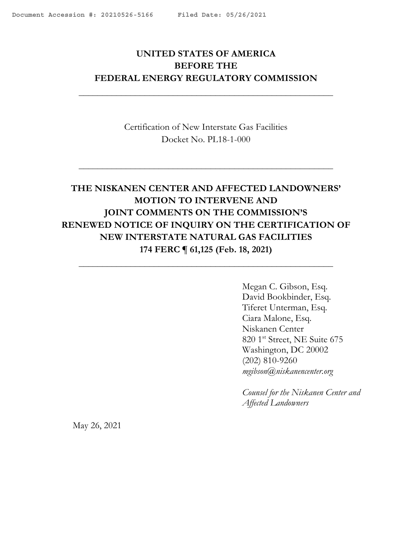# <span id="page-0-0"></span>**UNITED STATES OF AMERICA BEFORE THE FEDERAL ENERGY REGULATORY COMMISSION**

 $\mathcal{L}_\text{max}$  , and the contract of the contract of the contract of the contract of the contract of the contract of

Certification of New Interstate Gas Facilities Docket No. PL18-1-000

# **THE NISKANEN CENTER AND AFFECTED LANDOWNERS' MOTION TO INTERVENE AND JOINT COMMENTS ON THE COMMISSION'S RENEWED NOTICE OF INQUIRY ON THE CERTIFICATION OF NEW INTERSTATE NATURAL GAS FACILITIES 174 FERC ¶ 61,125 (Feb. 18, 2021)**

 $\mathcal{L}_\text{max}$  , and the contract of the contract of the contract of the contract of the contract of the contract of

Megan C. Gibson, Esq. David Bookbinder, Esq. Tiferet Unterman, Esq. Ciara Malone, Esq. Niskanen Center 820 1st Street, NE Suite 675 Washington, DC 20002 (202) 810-9260 *mgibson@niskanencenter.org*

*Counsel for the Niskanen Center and Affected Landowners*

May 26, 2021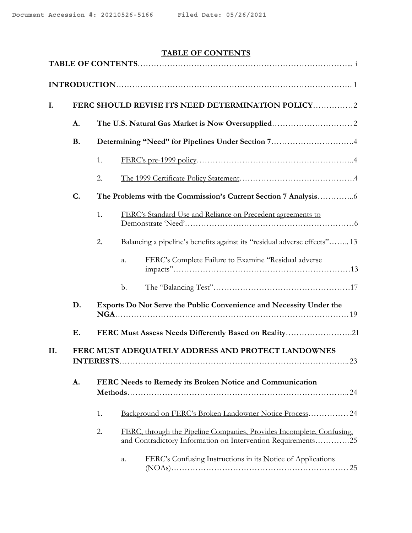## **TABLE OF CONTENTS**

| I.  |                                                                              | FERC SHOULD REVISE ITS NEED DETERMINATION POLICY2                                                                                           |  |  |  |  |  |  |
|-----|------------------------------------------------------------------------------|---------------------------------------------------------------------------------------------------------------------------------------------|--|--|--|--|--|--|
|     | A.                                                                           |                                                                                                                                             |  |  |  |  |  |  |
|     | <b>B.</b>                                                                    | Determining "Need" for Pipelines Under Section 74                                                                                           |  |  |  |  |  |  |
|     |                                                                              | 1.                                                                                                                                          |  |  |  |  |  |  |
|     |                                                                              | 2.                                                                                                                                          |  |  |  |  |  |  |
|     | C.                                                                           |                                                                                                                                             |  |  |  |  |  |  |
|     |                                                                              | 1.<br>FERC's Standard Use and Reliance on Precedent agreements to                                                                           |  |  |  |  |  |  |
|     |                                                                              | Balancing a pipeline's benefits against its "residual adverse effects"13<br>2.                                                              |  |  |  |  |  |  |
|     |                                                                              | FERC's Complete Failure to Examine "Residual adverse<br>a.                                                                                  |  |  |  |  |  |  |
|     |                                                                              | b.                                                                                                                                          |  |  |  |  |  |  |
|     | D.                                                                           | Exports Do Not Serve the Public Convenience and Necessity Under the                                                                         |  |  |  |  |  |  |
|     | Ε.                                                                           | FERC Must Assess Needs Differently Based on Reality21                                                                                       |  |  |  |  |  |  |
| II. | FERC MUST ADEQUATELY ADDRESS AND PROTECT LANDOWNES<br><b>INTERESTS</b><br>23 |                                                                                                                                             |  |  |  |  |  |  |
|     | A.                                                                           | FERC Needs to Remedy its Broken Notice and Communication                                                                                    |  |  |  |  |  |  |
|     |                                                                              | Background on FERC's Broken Landowner Notice Process 24<br>1.                                                                               |  |  |  |  |  |  |
|     |                                                                              | 2.<br>FERC, through the Pipeline Companies, Provides Incomplete, Confusing,<br>and Contradictory Information on Intervention Requirements25 |  |  |  |  |  |  |
|     |                                                                              | FERC's Confusing Instructions in its Notice of Applications<br>a.                                                                           |  |  |  |  |  |  |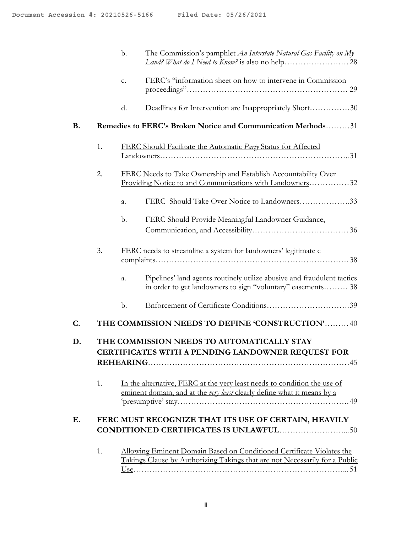|                |    | $b$ .         | The Commission's pamphlet <i>An Interstate Natural Gas Facility on My</i>                                                                            |
|----------------|----|---------------|------------------------------------------------------------------------------------------------------------------------------------------------------|
|                |    | c.            | FERC's "information sheet on how to intervene in Commission                                                                                          |
|                |    | $\rm d$ .     | Deadlines for Intervention are Inappropriately Short30                                                                                               |
| <b>B.</b>      |    |               | Remedies to FERC's Broken Notice and Communication Methods31                                                                                         |
|                | 1. |               | <b>FERC Should Facilitate the Automatic Party Status for Affected</b>                                                                                |
|                | 2. |               | FERC Needs to Take Ownership and Establish Accountability Over<br>Providing Notice to and Communications with Landowners32                           |
|                |    | a.            | FERC Should Take Over Notice to Landowners33                                                                                                         |
|                |    | b.            | FERC Should Provide Meaningful Landowner Guidance,                                                                                                   |
|                | 3. |               | FERC needs to streamline a system for landowners' legitimate c                                                                                       |
|                |    | a.            | Pipelines' land agents routinely utilize abusive and fraudulent tactics<br>in order to get landowners to sign "voluntary" easements 38               |
|                |    | $\mathbf b$ . |                                                                                                                                                      |
| $\mathbf{C}$ . |    |               | THE COMMISSION NEEDS TO DEFINE 'CONSTRUCTION' 40                                                                                                     |
| D.             |    |               | THE COMMISSION NEEDS TO AUTOMATICALLY STAY<br>CERTIFICATES WITH A PENDING LANDOWNER REQUEST FOR                                                      |
|                | 1. |               | In the alternative, FERC at the very least needs to condition the use of<br>eminent domain, and at the very least clearly define what it means by a  |
| E.             |    |               | FERC MUST RECOGNIZE THAT ITS USE OF CERTAIN, HEAVILY                                                                                                 |
|                | 1. |               | Allowing Eminent Domain Based on Conditioned Certificate Violates the<br>Takings Clause by Authorizing Takings that are not Necessarily for a Public |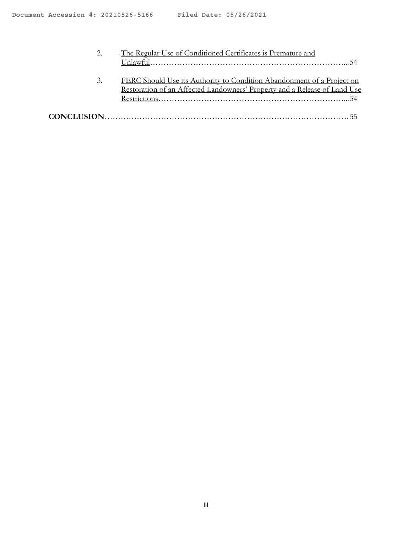|    | The Regular Use of Conditioned Certificates is Premature and                                                                                        |  |
|----|-----------------------------------------------------------------------------------------------------------------------------------------------------|--|
| 3. | FERC Should Use its Authority to Condition Abandonment of a Project on<br>Restoration of an Affected Landowners' Property and a Release of Land Use |  |
|    |                                                                                                                                                     |  |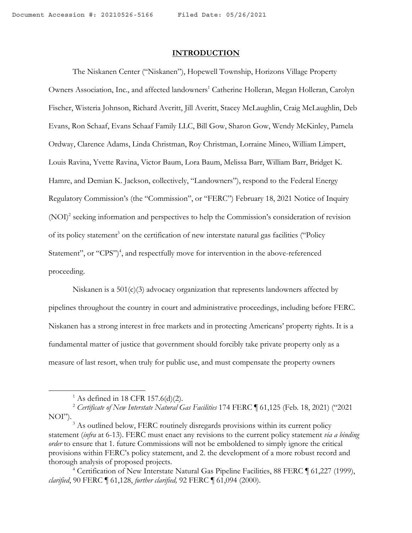#### **INTRODUCTION**

The Niskanen Center ("Niskanen"), Hopewell Township, Horizons Village Property Owners Association, Inc., and affected landowners<sup>1</sup> Catherine Holleran, Megan Holleran, Carolyn Fischer, Wisteria Johnson, Richard Averitt, Jill Averitt, Stacey McLaughlin, Craig McLaughlin, Deb Evans, Ron Schaaf, Evans Schaaf Family LLC, Bill Gow, Sharon Gow, Wendy McKinley, Pamela Ordway, Clarence Adams, Linda Christman, Roy Christman, Lorraine Mineo, William Limpert, Louis Ravina, Yvette Ravina, Victor Baum, Lora Baum, Melissa Barr, William Barr, Bridget K. Hamre, and Demian K. Jackson, collectively, "Landowners"), respond to the Federal Energy Regulatory Commission's (the "Commission", or "FERC") February 18, 2021 Notice of Inquiry (NOI)2 seeking information and perspectives to help the Commission's consideration of revision of its policy statement<sup>3</sup> on the certification of new interstate natural gas facilities ("Policy Statement", or "CPS")<sup>4</sup>, and respectfully move for intervention in the above-referenced proceeding.

Niskanen is a  $501(c)(3)$  advocacy organization that represents landowners affected by pipelines throughout the country in court and administrative proceedings, including before FERC. Niskanen has a strong interest in free markets and in protecting Americans' property rights. It is a fundamental matter of justice that government should forcibly take private property only as a measure of last resort, when truly for public use, and must compensate the property owners

<sup>&</sup>lt;sup>1</sup> As defined in 18 CFR 157.6(d)(2).

<sup>&</sup>lt;sup>2</sup> Certificate of New Interstate Natural Gas Facilities 174 FERC 161,125 (Feb. 18, 2021) ("2021 NOI").

<sup>&</sup>lt;sup>3</sup> As outlined below, FERC routinely disregards provisions within its current policy statement (*infra* at 6-13). FERC must enact any revisions to the current policy statement *via a binding order* to ensure that 1. future Commissions will not be emboldened to simply ignore the critical provisions within FERC's policy statement, and 2. the development of a more robust record and thorough analysis of proposed projects.

<sup>4</sup> Certification of New Interstate Natural Gas Pipeline Facilities, 88 FERC ¶ 61,227 (1999), *clarified*, 90 FERC ¶ 61,128, *further clarified,* 92 FERC ¶ 61,094 (2000).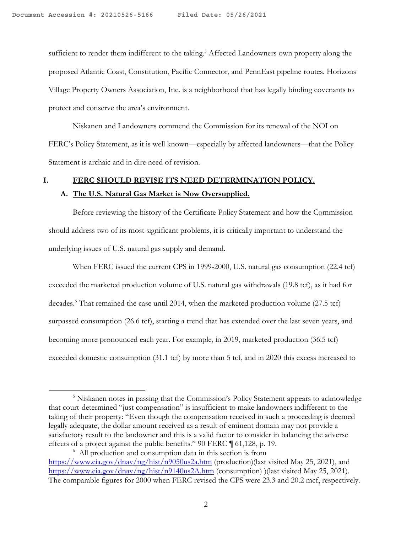sufficient to render them indifferent to the taking.<sup>5</sup> Affected Landowners own property along the proposed Atlantic Coast, Constitution, Pacific Connector, and PennEast pipeline routes. Horizons Village Property Owners Association, Inc. is a neighborhood that has legally binding covenants to protect and conserve the area's environment.

Niskanen and Landowners commend the Commission for its renewal of the NOI on FERC's Policy Statement, as it is well known—especially by affected landowners—that the Policy Statement is archaic and in dire need of revision.

## **I. FERC SHOULD REVISE ITS NEED DETERMINATION POLICY.**

#### **A. The U.S. Natural Gas Market is Now Oversupplied.**

Before reviewing the history of the Certificate Policy Statement and how the Commission should address two of its most significant problems, it is critically important to understand the underlying issues of U.S. natural gas supply and demand.

When FERC issued the current CPS in 1999-2000, U.S. natural gas consumption (22.4 tcf) exceeded the marketed production volume of U.S. natural gas withdrawals (19.8 tcf), as it had for decades.<sup>6</sup> That remained the case until 2014, when the marketed production volume (27.5 tcf) surpassed consumption (26.6 tcf), starting a trend that has extended over the last seven years, and becoming more pronounced each year. For example, in 2019, marketed production (36.5 tcf) exceeded domestic consumption (31.1 tcf) by more than 5 tcf, and in 2020 this excess increased to

<sup>&</sup>lt;sup>5</sup> Niskanen notes in passing that the Commission's Policy Statement appears to acknowledge that court-determined "just compensation" is insufficient to make landowners indifferent to the taking of their property: "Even though the compensation received in such a proceeding is deemed legally adequate, the dollar amount received as a result of eminent domain may not provide a satisfactory result to the landowner and this is a valid factor to consider in balancing the adverse effects of a project against the public benefits." 90 FERC ¶ 61,128, p. 19.

<sup>6</sup> All production and consumption data in this section is from https://www.eia.gov/dnav/ng/hist/n9050us2a.htm (production)(last visited May 25, 2021), and https://www.eia.gov/dnav/ng/hist/n9140us2A.htm (consumption) )(last visited May 25, 2021). The comparable figures for 2000 when FERC revised the CPS were 23.3 and 20.2 mcf, respectively.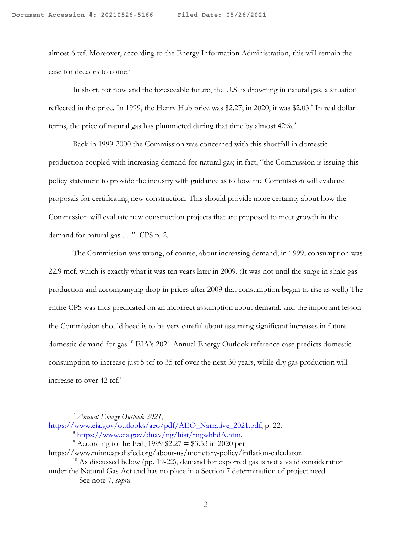almost 6 tcf. Moreover, according to the Energy Information Administration, this will remain the case for decades to come.<sup>7</sup>

In short, for now and the foreseeable future, the U.S. is drowning in natural gas, a situation reflected in the price. In 1999, the Henry Hub price was \$2.27; in 2020, it was \$2.03.8 In real dollar terms, the price of natural gas has plummeted during that time by almost 42%.<sup>9</sup>

Back in 1999-2000 the Commission was concerned with this shortfall in domestic production coupled with increasing demand for natural gas; in fact, "the Commission is issuing this policy statement to provide the industry with guidance as to how the Commission will evaluate proposals for certificating new construction. This should provide more certainty about how the Commission will evaluate new construction projects that are proposed to meet growth in the demand for natural gas . . ." CPS p. 2.

The Commission was wrong, of course, about increasing demand; in 1999, consumption was 22.9 mcf, which is exactly what it was ten years later in 2009. (It was not until the surge in shale gas production and accompanying drop in prices after 2009 that consumption began to rise as well.) The entire CPS was thus predicated on an incorrect assumption about demand, and the important lesson the Commission should heed is to be very careful about assuming significant increases in future domestic demand for gas.<sup>10</sup> EIA's 2021 Annual Energy Outlook reference case predicts domestic consumption to increase just 5 tcf to 35 tcf over the next 30 years, while dry gas production will increase to over  $42$  tcf.<sup>11</sup>

<sup>7</sup> *Annual Energy Outlook 2021*,

https://www.eia.gov/outlooks/aeo/pdf/AEO\_Narrative\_2021.pdf, p. 22.

 $\frac{8 \text{ https://www.eia.gov/dnav/ng/hist/rngwhhdA.htm}}{8 \text{ According to the Fed, 1999 $2.27 = $3.53 in 2020 per}}$ 

https://www.minneapolisfed.org/about-us/monetary-policy/inflation-calculator.

 $10$  As discussed below (pp. 19-22), demand for exported gas is not a valid consideration under the Natural Gas Act and has no place in a Section 7 determination of project need.

<sup>11</sup> See note 7, *supra*.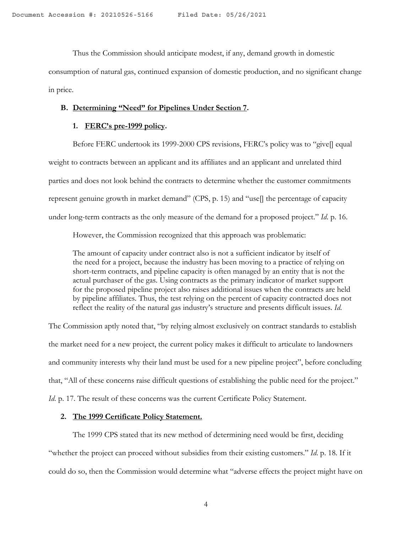Thus the Commission should anticipate modest, if any, demand growth in domestic

consumption of natural gas, continued expansion of domestic production, and no significant change in price.

#### **B. Determining "Need" for Pipelines Under Section 7.**

## **1. FERC's pre-1999 policy.**

Before FERC undertook its 1999-2000 CPS revisions, FERC's policy was to "give[] equal weight to contracts between an applicant and its affiliates and an applicant and unrelated third parties and does not look behind the contracts to determine whether the customer commitments represent genuine growth in market demand" (CPS, p. 15) and "use[] the percentage of capacity under long-term contracts as the only measure of the demand for a proposed project." *Id*. p. 16.

However, the Commission recognized that this approach was problematic:

The amount of capacity under contract also is not a sufficient indicator by itself of the need for a project, because the industry has been moving to a practice of relying on short-term contracts, and pipeline capacity is often managed by an entity that is not the actual purchaser of the gas. Using contracts as the primary indicator of market support for the proposed pipeline project also raises additional issues when the contracts are held by pipeline affiliates. Thus, the test relying on the percent of capacity contracted does not reflect the reality of the natural gas industry's structure and presents difficult issues. *Id*.

The Commission aptly noted that, "by relying almost exclusively on contract standards to establish the market need for a new project, the current policy makes it difficult to articulate to landowners and community interests why their land must be used for a new pipeline project", before concluding that, "All of these concerns raise difficult questions of establishing the public need for the project." *Id.* p. 17. The result of these concerns was the current Certificate Policy Statement.

#### **2. The 1999 Certificate Policy Statement.**

The 1999 CPS stated that its new method of determining need would be first, deciding "whether the project can proceed without subsidies from their existing customers." *Id*. p. 18. If it could do so, then the Commission would determine what "adverse effects the project might have on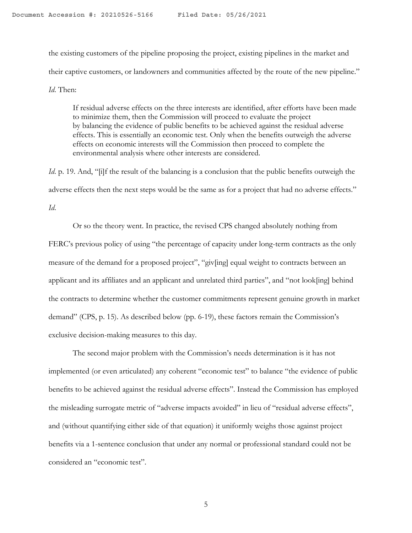the existing customers of the pipeline proposing the project, existing pipelines in the market and their captive customers, or landowners and communities affected by the route of the new pipeline." *Id*. Then:

If residual adverse effects on the three interests are identified, after efforts have been made to minimize them, then the Commission will proceed to evaluate the project by balancing the evidence of public benefits to be achieved against the residual adverse effects. This is essentially an economic test. Only when the benefits outweigh the adverse effects on economic interests will the Commission then proceed to complete the environmental analysis where other interests are considered.

*Id.* p. 19. And, "[i]f the result of the balancing is a conclusion that the public benefits outweigh the adverse effects then the next steps would be the same as for a project that had no adverse effects."

*Id*.

Or so the theory went. In practice, the revised CPS changed absolutely nothing from FERC's previous policy of using "the percentage of capacity under long-term contracts as the only measure of the demand for a proposed project", "giv[ing] equal weight to contracts between an applicant and its affiliates and an applicant and unrelated third parties", and "not look[ing] behind the contracts to determine whether the customer commitments represent genuine growth in market demand" (CPS, p. 15). As described below (pp. 6-19), these factors remain the Commission's exclusive decision-making measures to this day.

The second major problem with the Commission's needs determination is it has not implemented (or even articulated) any coherent "economic test" to balance "the evidence of public benefits to be achieved against the residual adverse effects". Instead the Commission has employed the misleading surrogate metric of "adverse impacts avoided" in lieu of "residual adverse effects", and (without quantifying either side of that equation) it uniformly weighs those against project benefits via a 1-sentence conclusion that under any normal or professional standard could not be considered an "economic test".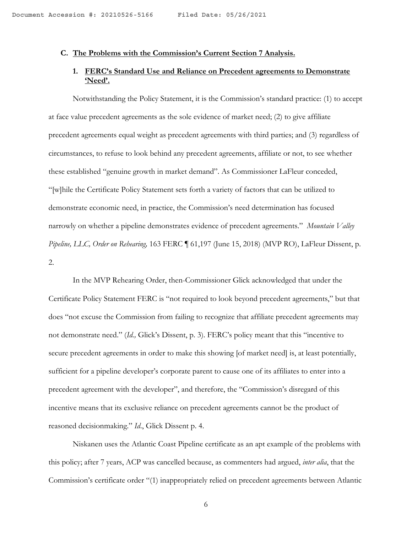#### **C. The Problems with the Commission's Current Section 7 Analysis.**

## **1. FERC's Standard Use and Reliance on Precedent agreements to Demonstrate 'Need'.**

Notwithstanding the Policy Statement, it is the Commission's standard practice: (1) to accept at face value precedent agreements as the sole evidence of market need; (2) to give affiliate precedent agreements equal weight as precedent agreements with third parties; and (3) regardless of circumstances, to refuse to look behind any precedent agreements, affiliate or not, to see whether these established "genuine growth in market demand". As Commissioner LaFleur conceded, "[w]hile the Certificate Policy Statement sets forth a variety of factors that can be utilized to demonstrate economic need, in practice, the Commission's need determination has focused narrowly on whether a pipeline demonstrates evidence of precedent agreements." *Mountain Valley Pipeline, LLC, Order on Rehearing,* 163 FERC ¶ 61,197 (June 15, 2018) (MVP RO), LaFleur Dissent, p. 2.

In the MVP Rehearing Order, then-Commissioner Glick acknowledged that under the Certificate Policy Statement FERC is "not required to look beyond precedent agreements," but that does "not excuse the Commission from failing to recognize that affiliate precedent agreements may not demonstrate need." (*Id.,* Glick's Dissent, p. 3). FERC's policy meant that this "incentive to secure precedent agreements in order to make this showing [of market need] is, at least potentially, sufficient for a pipeline developer's corporate parent to cause one of its affiliates to enter into a precedent agreement with the developer", and therefore, the "Commission's disregard of this incentive means that its exclusive reliance on precedent agreements cannot be the product of reasoned decisionmaking." *Id*., Glick Dissent p. 4.

Niskanen uses the Atlantic Coast Pipeline certificate as an apt example of the problems with this policy; after 7 years, ACP was cancelled because, as commenters had argued, *inter alia*, that the Commission's certificate order "(1) inappropriately relied on precedent agreements between Atlantic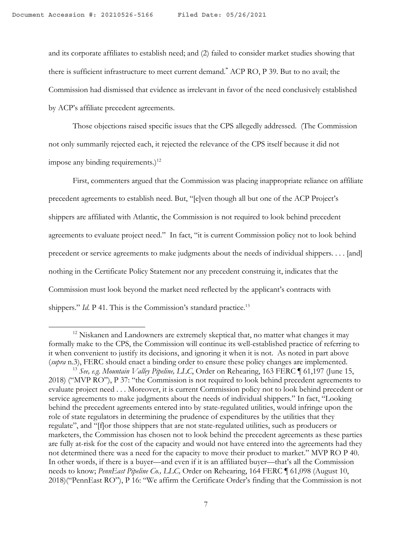and its corporate affiliates to establish need; and (2) failed to consider market studies showing that there is sufficient infrastructure to meet current demand.**"** ACP RO, P 39. But to no avail; the Commission had dismissed that evidence as irrelevant in favor of the need conclusively established by ACP's affiliate precedent agreements.

Those objections raised specific issues that the CPS allegedly addressed. (The Commission not only summarily rejected each, it rejected the relevance of the CPS itself because it did not impose any binding requirements.) $^{12}$ 

First, commenters argued that the Commission was placing inappropriate reliance on affiliate precedent agreements to establish need. But, "[e]ven though all but one of the ACP Project's shippers are affiliated with Atlantic, the Commission is not required to look behind precedent agreements to evaluate project need." In fact, "it is current Commission policy not to look behind precedent or service agreements to make judgments about the needs of individual shippers. . . . [and] nothing in the Certificate Policy Statement nor any precedent construing it, indicates that the Commission must look beyond the market need reflected by the applicant's contracts with shippers." *Id.* P 41. This is the Commission's standard practice.<sup>13</sup>

 $12$  Niskanen and Landowners are extremely skeptical that, no matter what changes it may formally make to the CPS, the Commission will continue its well-established practice of referring to it when convenient to justify its decisions, and ignoring it when it is not. As noted in part above (*supra* n.3), FERC should enact a binding order to ensure these policy changes are implemented.

<sup>13</sup> *See, e.g. Mountain Valley Pipeline, LLC*, Order on Rehearing, 163 FERC ¶ 61,197 (June 15, 2018) ("MVP RO"), P 37: "the Commission is not required to look behind precedent agreements to evaluate project need . . . Moreover, it is current Commission policy not to look behind precedent or service agreements to make judgments about the needs of individual shippers." In fact, "Looking behind the precedent agreements entered into by state-regulated utilities, would infringe upon the role of state regulators in determining the prudence of expenditures by the utilities that they regulate", and "[f]or those shippers that are not state-regulated utilities, such as producers or marketers, the Commission has chosen not to look behind the precedent agreements as these parties are fully at-risk for the cost of the capacity and would not have entered into the agreements had they not determined there was a need for the capacity to move their product to market." MVP RO P 40. In other words, if there is a buyer—and even if it is an affiliated buyer—that's all the Commission needs to know; *PennEast Pipeline Co., LLC,* Order on Rehearing, 164 FERC ¶ 61,098 (August 10, 2018)("PennEast RO"), P 16: "We affirm the Certificate Order's finding that the Commission is not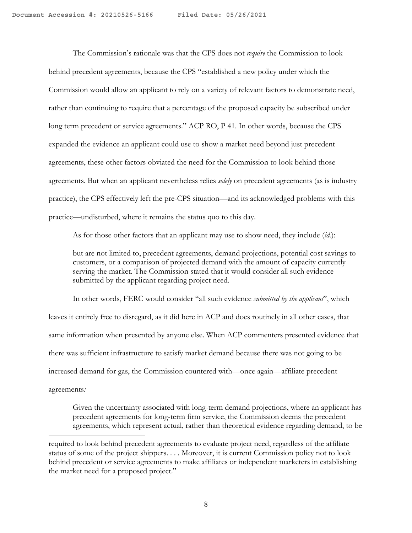The Commission's rationale was that the CPS does not *require* the Commission to look behind precedent agreements, because the CPS "established a new policy under which the Commission would allow an applicant to rely on a variety of relevant factors to demonstrate need, rather than continuing to require that a percentage of the proposed capacity be subscribed under long term precedent or service agreements." ACP RO, P 41. In other words, because the CPS expanded the evidence an applicant could use to show a market need beyond just precedent agreements, these other factors obviated the need for the Commission to look behind those agreements. But when an applicant nevertheless relies *solely* on precedent agreements (as is industry practice), the CPS effectively left the pre-CPS situation—and its acknowledged problems with this practice—undisturbed, where it remains the status quo to this day.

As for those other factors that an applicant may use to show need, they include (*id.*):

but are not limited to, precedent agreements, demand projections, potential cost savings to customers, or a comparison of projected demand with the amount of capacity currently serving the market. The Commission stated that it would consider all such evidence submitted by the applicant regarding project need.

In other words, FERC would consider "all such evidence *submitted by the applicant*", which leaves it entirely free to disregard, as it did here in ACP and does routinely in all other cases, that same information when presented by anyone else. When ACP commenters presented evidence that there was sufficient infrastructure to satisfy market demand because there was not going to be increased demand for gas, the Commission countered with—once again—affiliate precedent agreements*:*

Given the uncertainty associated with long-term demand projections, where an applicant has precedent agreements for long-term firm service, the Commission deems the precedent agreements, which represent actual, rather than theoretical evidence regarding demand, to be

required to look behind precedent agreements to evaluate project need, regardless of the affiliate status of some of the project shippers. . . . Moreover, it is current Commission policy not to look behind precedent or service agreements to make affiliates or independent marketers in establishing the market need for a proposed project."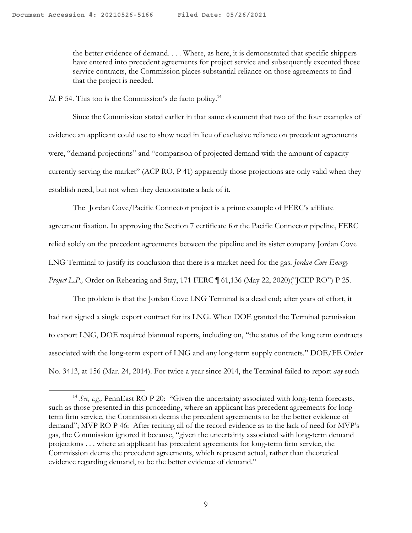the better evidence of demand. . . . Where, as here, it is demonstrated that specific shippers have entered into precedent agreements for project service and subsequently executed those service contracts, the Commission places substantial reliance on those agreements to find that the project is needed.

*Id*. P 54. This too is the Commission's de facto policy.<sup>14</sup>

Since the Commission stated earlier in that same document that two of the four examples of evidence an applicant could use to show need in lieu of exclusive reliance on precedent agreements were, "demand projections" and "comparison of projected demand with the amount of capacity currently serving the market" (ACP RO, P 41) apparently those projections are only valid when they establish need, but not when they demonstrate a lack of it.

The Jordan Cove/Pacific Connector project is a prime example of FERC's affiliate agreement fixation. In approving the Section 7 certificate for the Pacific Connector pipeline, FERC relied solely on the precedent agreements between the pipeline and its sister company Jordan Cove LNG Terminal to justify its conclusion that there is a market need for the gas. *Jordan Cove Energy Project L.P., Order on Rehearing and Stay, 171 FERC* 161,136 (May 22, 2020)("JCEP RO") P 25.

The problem is that the Jordan Cove LNG Terminal is a dead end; after years of effort, it had not signed a single export contract for its LNG. When DOE granted the Terminal permission to export LNG, DOE required biannual reports, including on, "the status of the long term contracts associated with the long-term export of LNG and any long-term supply contracts." DOE/FE Order No. 3413, at 156 (Mar. 24, 2014). For twice a year since 2014, the Terminal failed to report *any* such

<sup>&</sup>lt;sup>14</sup> See, e.g., PennEast RO P 20: "Given the uncertainty associated with long-term forecasts, such as those presented in this proceeding, where an applicant has precedent agreements for longterm firm service, the Commission deems the precedent agreements to be the better evidence of demand"; MVP RO P 46: After reciting all of the record evidence as to the lack of need for MVP's gas, the Commission ignored it because, "given the uncertainty associated with long-term demand projections . . . where an applicant has precedent agreements for long-term firm service, the Commission deems the precedent agreements, which represent actual, rather than theoretical evidence regarding demand, to be the better evidence of demand."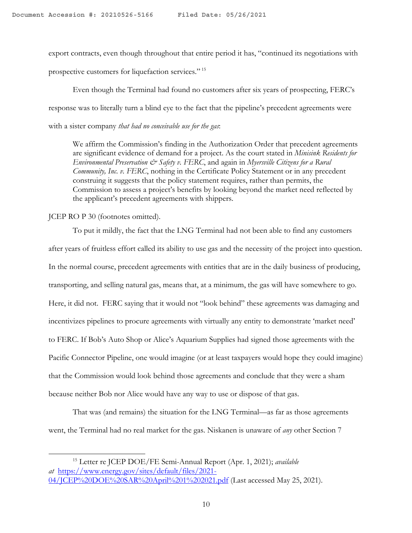export contracts, even though throughout that entire period it has, "continued its negotiations with prospective customers for liquefaction services." <sup>15</sup>

Even though the Terminal had found no customers after six years of prospecting, FERC's response was to literally turn a blind eye to the fact that the pipeline's precedent agreements were with a sister company *that had no conceivable use for the gas*:

We affirm the Commission's finding in the Authorization Order that precedent agreements are significant evidence of demand for a project. As the court stated in *Minisink Residents for Environmental Preservation & Safety v. FERC*, and again in *Myersville Citizens for a Rural Community, Inc*. *v. FERC*, nothing in the Certificate Policy Statement or in any precedent construing it suggests that the policy statement requires, rather than permits, the Commission to assess a project's benefits by looking beyond the market need reflected by the applicant's precedent agreements with shippers.

JCEP RO P 30 (footnotes omitted).

To put it mildly, the fact that the LNG Terminal had not been able to find any customers after years of fruitless effort called its ability to use gas and the necessity of the project into question. In the normal course, precedent agreements with entities that are in the daily business of producing, transporting, and selling natural gas, means that, at a minimum, the gas will have somewhere to go. Here, it did not. FERC saying that it would not "look behind" these agreements was damaging and incentivizes pipelines to procure agreements with virtually any entity to demonstrate 'market need' to FERC. If Bob's Auto Shop or Alice's Aquarium Supplies had signed those agreements with the Pacific Connector Pipeline, one would imagine (or at least taxpayers would hope they could imagine) that the Commission would look behind those agreements and conclude that they were a sham because neither Bob nor Alice would have any way to use or dispose of that gas.

That was (and remains) the situation for the LNG Terminal—as far as those agreements went, the Terminal had no real market for the gas. Niskanen is unaware of *any* other Section 7

<sup>15</sup> Letter re JCEP DOE/FE Semi-Annual Report (Apr. 1, 2021); *available at* https://www.energy.gov/sites/default/files/2021- 04/ICEP%20DOE%20SAR%20April%201%202021.pdf (Last accessed May 25, 2021).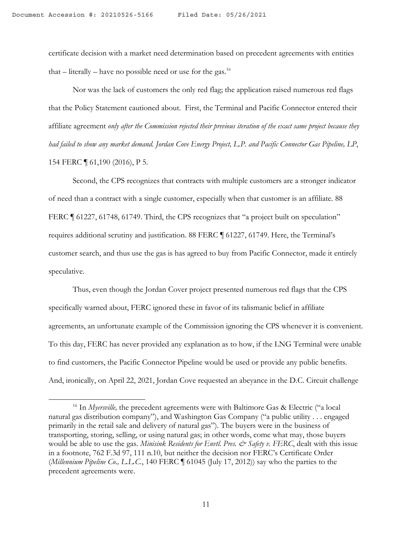certificate decision with a market need determination based on precedent agreements with entities that – literally – have no possible need or use for the gas.<sup>16</sup>

Nor was the lack of customers the only red flag; the application raised numerous red flags that the Policy Statement cautioned about. First, the Terminal and Pacific Connector entered their affiliate agreement *only after the Commission rejected their previous iteration of the exact same project because they had failed to show any market demand. Jordan Cove Energy Project, L.P. and Pacific Connector Gas Pipeline, LP*, 154 FERC ¶ 61,190 (2016), P 5.

Second, the CPS recognizes that contracts with multiple customers are a stronger indicator of need than a contract with a single customer, especially when that customer is an affiliate. 88 FERC ¶ 61227, 61748, 61749. Third, the CPS recognizes that "a project built on speculation" requires additional scrutiny and justification. 88 FERC ¶ 61227, 61749. Here, the Terminal's customer search, and thus use the gas is has agreed to buy from Pacific Connector, made it entirely speculative.

Thus, even though the Jordan Cover project presented numerous red flags that the CPS specifically warned about, FERC ignored these in favor of its talismanic belief in affiliate agreements, an unfortunate example of the Commission ignoring the CPS whenever it is convenient. To this day, FERC has never provided any explanation as to how, if the LNG Terminal were unable to find customers, the Pacific Connector Pipeline would be used or provide any public benefits. And, ironically, on April 22, 2021, Jordan Cove requested an abeyance in the D.C. Circuit challenge

<sup>&</sup>lt;sup>16</sup> In *Myersville*, the precedent agreements were with Baltimore Gas & Electric ("a local natural gas distribution company"), and Washington Gas Company ("a public utility . . . engaged primarily in the retail sale and delivery of natural gas"). The buyers were in the business of transporting, storing, selling, or using natural gas; in other words, come what may, those buyers would be able to use the gas. *Minisink Residents for Envtl. Pres. & Safety v. FERC*, dealt with this issue in a footnote, 762 F.3d 97, 111 n.10, but neither the decision nor FERC's Certificate Order (*Millennium Pipeline Co., L.L.C.*, 140 FERC ¶ 61045 (July 17, 2012)) say who the parties to the precedent agreements were.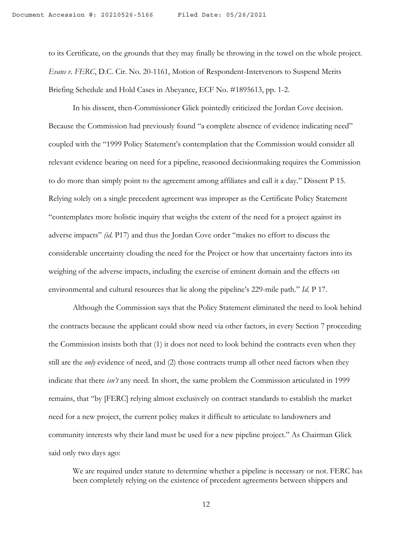to its Certificate, on the grounds that they may finally be throwing in the towel on the whole project. *Evans v. FERC*, D.C. Cir. No. 20-1161, Motion of Respondent-Intervenors to Suspend Merits Briefing Schedule and Hold Cases in Abeyance, ECF No. #1895613, pp. 1-2.

In his dissent, then-Commissioner Glick pointedly criticized the Jordan Cove decision. Because the Commission had previously found "a complete absence of evidence indicating need" coupled with the "1999 Policy Statement's contemplation that the Commission would consider all relevant evidence bearing on need for a pipeline, reasoned decisionmaking requires the Commission to do more than simply point to the agreement among affiliates and call it a day." Dissent P 15. Relying solely on a single precedent agreement was improper as the Certificate Policy Statement "contemplates more holistic inquiry that weighs the extent of the need for a project against its adverse impacts" *(id*. P17) and thus the Jordan Cove order "makes no effort to discuss the considerable uncertainty clouding the need for the Project or how that uncertainty factors into its weighing of the adverse impacts, including the exercise of eminent domain and the effects on environmental and cultural resources that lie along the pipeline's 229-mile path." *Id.* P 17.

Although the Commission says that the Policy Statement eliminated the need to look behind the contracts because the applicant could show need via other factors, in every Section 7 proceeding the Commission insists both that (1) it does not need to look behind the contracts even when they still are the *only* evidence of need, and (2) those contracts trump all other need factors when they indicate that there *isn't* any need. In short, the same problem the Commission articulated in 1999 remains, that "by [FERC] relying almost exclusively on contract standards to establish the market need for a new project, the current policy makes it difficult to articulate to landowners and community interests why their land must be used for a new pipeline project." As Chairman Glick said only two days ago:

We are required under statute to determine whether a pipeline is necessary or not. FERC has been completely relying on the existence of precedent agreements between shippers and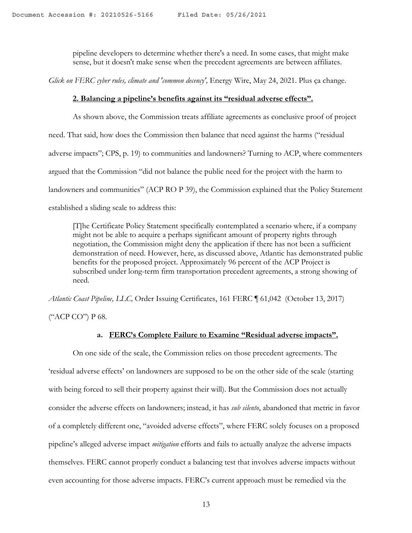pipeline developers to determine whether there's a need. In some cases, that might make sense, but it doesn't make sense when the precedent agreements are between affiliates.

*Glick on FERC cyber rules, climate and 'common decency', Energy Wire, May 24, 2021. Plus ça change.* 

#### **2. Balancing a pipeline's benefits against its "residual adverse effects".**

As shown above, the Commission treats affiliate agreements as conclusive proof of project need. That said, how does the Commission then balance that need against the harms ("residual adverse impacts"; CPS, p. 19) to communities and landowners? Turning to ACP, where commenters argued that the Commission "did not balance the public need for the project with the harm to landowners and communities" (ACP RO P 39), the Commission explained that the Policy Statement established a sliding scale to address this:

[T]he Certificate Policy Statement specifically contemplated a scenario where, if a company might not be able to acquire a perhaps significant amount of property rights through negotiation, the Commission might deny the application if there has not been a sufficient demonstration of need. However, here, as discussed above, Atlantic has demonstrated public benefits for the proposed project. Approximately 96 percent of the ACP Project is subscribed under long-term firm transportation precedent agreements, a strong showing of need.

*Atlantic Coast Pipeline, LLC,* Order Issuing Certificates, 161 FERC ¶ 61,042 (October 13, 2017)

("ACP CO") P 68.

### **a. FERC's Complete Failure to Examine "Residual adverse impacts".**

On one side of the scale, the Commission relies on those precedent agreements. The 'residual adverse effects' on landowners are supposed to be on the other side of the scale (starting with being forced to sell their property against their will). But the Commission does not actually consider the adverse effects on landowners; instead, it has *sub silento*, abandoned that metric in favor of a completely different one, "avoided adverse effects", where FERC solely focuses on a proposed pipeline's alleged adverse impact *mitigation* efforts and fails to actually analyze the adverse impacts themselves. FERC cannot properly conduct a balancing test that involves adverse impacts without even accounting for those adverse impacts. FERC's current approach must be remedied via the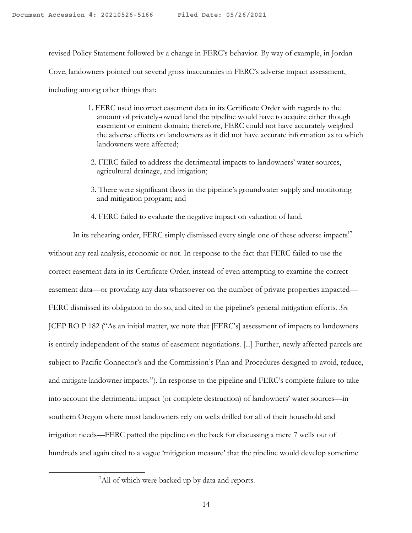revised Policy Statement followed by a change in FERC's behavior. By way of example, in Jordan

Cove, landowners pointed out several gross inaccuracies in FERC's adverse impact assessment,

including among other things that:

- 1. FERC used incorrect easement data in its Certificate Order with regards to the amount of privately-owned land the pipeline would have to acquire either though easement or eminent domain; therefore, FERC could not have accurately weighed the adverse effects on landowners as it did not have accurate information as to which landowners were affected;
- 2. FERC failed to address the detrimental impacts to landowners' water sources, agricultural drainage, and irrigation;
- 3. There were significant flaws in the pipeline's groundwater supply and monitoring and mitigation program; and
- 4. FERC failed to evaluate the negative impact on valuation of land.

In its rehearing order, FERC simply dismissed every single one of these adverse impacts $17$ without any real analysis, economic or not. In response to the fact that FERC failed to use the correct easement data in its Certificate Order, instead of even attempting to examine the correct easement data—or providing any data whatsoever on the number of private properties impacted— FERC dismissed its obligation to do so, and cited to the pipeline's general mitigation efforts. *See*  JCEP RO P 182 ("As an initial matter, we note that [FERC's] assessment of impacts to landowners is entirely independent of the status of easement negotiations. [...] Further, newly affected parcels are subject to Pacific Connector's and the Commission's Plan and Procedures designed to avoid, reduce, and mitigate landowner impacts."). In response to the pipeline and FERC's complete failure to take into account the detrimental impact (or complete destruction) of landowners' water sources—in southern Oregon where most landowners rely on wells drilled for all of their household and irrigation needs—FERC patted the pipeline on the back for discussing a mere 7 wells out of hundreds and again cited to a vague 'mitigation measure' that the pipeline would develop sometime

<sup>&</sup>lt;sup>17</sup>All of which were backed up by data and reports.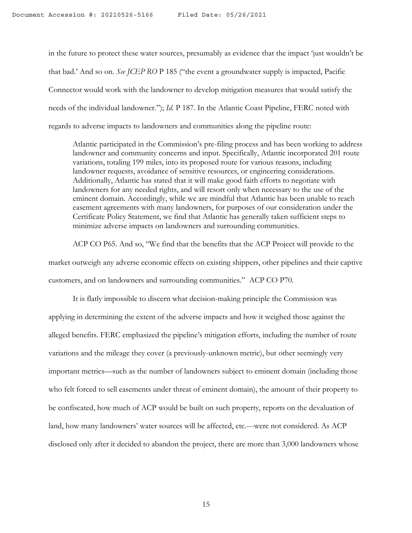in the future to protect these water sources, presumably as evidence that the impact 'just wouldn't be that bad.' And so on. *See JCEP RO* P 185 ("the event a groundwater supply is impacted, Pacific Connector would work with the landowner to develop mitigation measures that would satisfy the needs of the individual landowner."); *Id.* P 187. In the Atlantic Coast Pipeline, FERC noted with regards to adverse impacts to landowners and communities along the pipeline route:

Atlantic participated in the Commission's pre-filing process and has been working to address landowner and community concerns and input. Specifically, Atlantic incorporated 201 route variations, totaling 199 miles, into its proposed route for various reasons, including landowner requests, avoidance of sensitive resources, or engineering considerations. Additionally, Atlantic has stated that it will make good faith efforts to negotiate with landowners for any needed rights, and will resort only when necessary to the use of the eminent domain. Accordingly, while we are mindful that Atlantic has been unable to reach easement agreements with many landowners, for purposes of our consideration under the Certificate Policy Statement, we find that Atlantic has generally taken sufficient steps to minimize adverse impacts on landowners and surrounding communities.

ACP CO P65. And so, "We find that the benefits that the ACP Project will provide to the market outweigh any adverse economic effects on existing shippers, other pipelines and their captive customers, and on landowners and surrounding communities." ACP CO P70.

It is flatly impossible to discern what decision-making principle the Commission was applying in determining the extent of the adverse impacts and how it weighed those against the alleged benefits. FERC emphasized the pipeline's mitigation efforts, including the number of route variations and the mileage they cover (a previously-unknown metric), but other seemingly very important metrics—such as the number of landowners subject to eminent domain (including those who felt forced to sell easements under threat of eminent domain), the amount of their property to be confiscated, how much of ACP would be built on such property, reports on the devaluation of land, how many landowners' water sources will be affected, etc.---were not considered. As ACP disclosed only after it decided to abandon the project, there are more than 3,000 landowners whose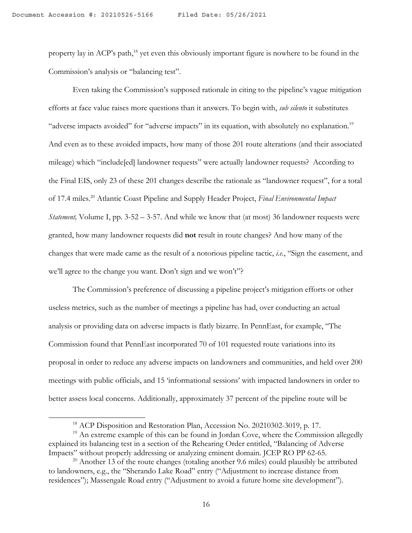property lay in ACP's path,<sup>18</sup> yet even this obviously important figure is nowhere to be found in the Commission's analysis or "balancing test".

Even taking the Commission's supposed rationale in citing to the pipeline's vague mitigation efforts at face value raises more questions than it answers. To begin with, *sub silento* it substitutes "adverse impacts avoided" for "adverse impacts" in its equation, with absolutely no explanation.<sup>19</sup> And even as to these avoided impacts, how many of those 201 route alterations (and their associated mileage) which "include[ed] landowner requests" were actually landowner requests? According to the Final EIS, only 23 of these 201 changes describe the rationale as "landowner request", for a total of 17.4 miles.20 Atlantic Coast Pipeline and Supply Header Project, *Final Environmental Impact Statement,* Volume I, pp. 3-52 – 3-57. And while we know that (at most) 36 landowner requests were granted, how many landowner requests did **not** result in route changes? And how many of the changes that were made came as the result of a notorious pipeline tactic, *i.e.*, "Sign the easement, and we'll agree to the change you want. Don't sign and we won't"?

The Commission's preference of discussing a pipeline project's mitigation efforts or other useless metrics, such as the number of meetings a pipeline has had, over conducting an actual analysis or providing data on adverse impacts is flatly bizarre. In PennEast, for example, "The Commission found that PennEast incorporated 70 of 101 requested route variations into its proposal in order to reduce any adverse impacts on landowners and communities, and held over 200 meetings with public officials, and 15 'informational sessions' with impacted landowners in order to better assess local concerns. Additionally, approximately 37 percent of the pipeline route will be

<sup>&</sup>lt;sup>18</sup> ACP Disposition and Restoration Plan, Accession No. 20210302-3019, p. 17.

<sup>&</sup>lt;sup>19</sup> An extreme example of this can be found in Jordan Cove, where the Commission allegedly explained its balancing test in a section of the Rehearing Order entitled, "Balancing of Adverse Impacts" without properly addressing or analyzing eminent domain. JCEP RO PP 62-65.

 $20$  Another 13 of the route changes (totaling another 9.6 miles) could plausibly be attributed to landowners, e.g., the "Sherando Lake Road" entry ("Adjustment to increase distance from residences"); Massengale Road entry ("Adjustment to avoid a future home site development").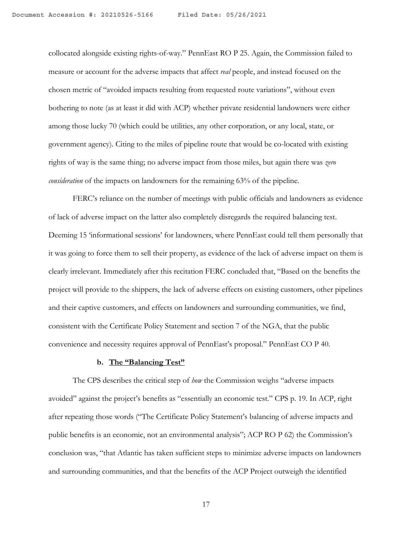collocated alongside existing rights-of-way." PennEast RO P 25. Again, the Commission failed to measure or account for the adverse impacts that affect *real* people, and instead focused on the chosen metric of "avoided impacts resulting from requested route variations", without even bothering to note (as at least it did with ACP) whether private residential landowners were either among those lucky 70 (which could be utilities, any other corporation, or any local, state, or government agency). Citing to the miles of pipeline route that would be co-located with existing rights of way is the same thing; no adverse impact from those miles, but again there was *zero consideration* of the impacts on landowners for the remaining 63% of the pipeline.

FERC's reliance on the number of meetings with public officials and landowners as evidence of lack of adverse impact on the latter also completely disregards the required balancing test. Deeming 15 'informational sessions' for landowners, where PennEast could tell them personally that it was going to force them to sell their property, as evidence of the lack of adverse impact on them is clearly irrelevant. Immediately after this recitation FERC concluded that, "Based on the benefits the project will provide to the shippers, the lack of adverse effects on existing customers, other pipelines and their captive customers, and effects on landowners and surrounding communities, we find, consistent with the Certificate Policy Statement and section 7 of the NGA, that the public convenience and necessity requires approval of PennEast's proposal." PennEast CO P 40.

#### **b. The "Balancing Test"**

The CPS describes the critical step of *how* the Commission weighs "adverse impacts avoided" against the project's benefits as "essentially an economic test." CPS p. 19. In ACP, right after repeating those words ("The Certificate Policy Statement's balancing of adverse impacts and public benefits is an economic, not an environmental analysis"; ACP RO P 62) the Commission's conclusion was, "that Atlantic has taken sufficient steps to minimize adverse impacts on landowners and surrounding communities, and that the benefits of the ACP Project outweigh the identified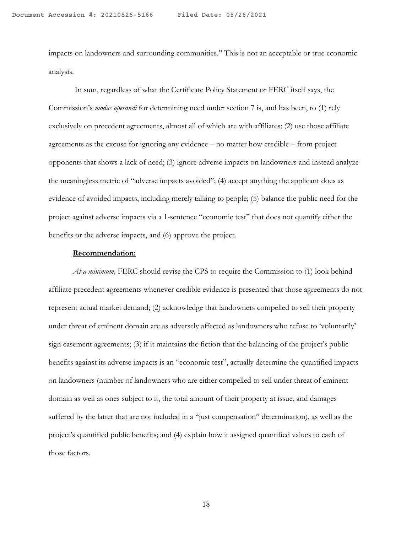impacts on landowners and surrounding communities." This is not an acceptable or true economic analysis.

In sum, regardless of what the Certificate Policy Statement or FERC itself says, the Commission's *modus operandi* for determining need under section 7 is, and has been, to (1) rely exclusively on precedent agreements, almost all of which are with affiliates; (2) use those affiliate agreements as the excuse for ignoring any evidence – no matter how credible – from project opponents that shows a lack of need; (3) ignore adverse impacts on landowners and instead analyze the meaningless metric of "adverse impacts avoided"; (4) accept anything the applicant does as evidence of avoided impacts, including merely talking to people; (5) balance the public need for the project against adverse impacts via a 1-sentence "economic test" that does not quantify either the benefits or the adverse impacts, and (6) approve the project.

#### **Recommendation:**

*At a minimum,* FERC should revise the CPS to require the Commission to (1) look behind affiliate precedent agreements whenever credible evidence is presented that those agreements do not represent actual market demand; (2) acknowledge that landowners compelled to sell their property under threat of eminent domain are as adversely affected as landowners who refuse to 'voluntarily' sign easement agreements; (3) if it maintains the fiction that the balancing of the project's public benefits against its adverse impacts is an "economic test", actually determine the quantified impacts on landowners (number of landowners who are either compelled to sell under threat of eminent domain as well as ones subject to it, the total amount of their property at issue, and damages suffered by the latter that are not included in a "just compensation" determination), as well as the project's quantified public benefits; and (4) explain how it assigned quantified values to each of those factors.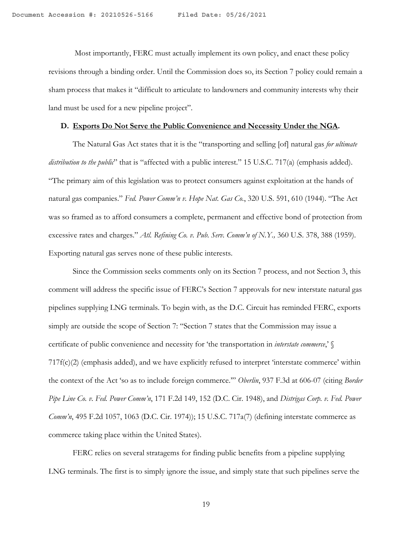Most importantly, FERC must actually implement its own policy, and enact these policy revisions through a binding order. Until the Commission does so, its Section 7 policy could remain a sham process that makes it "difficult to articulate to landowners and community interests why their land must be used for a new pipeline project".

#### **D. Exports Do Not Serve the Public Convenience and Necessity Under the NGA.**

The Natural Gas Act states that it is the "transporting and selling [of] natural gas *for ultimate distribution to the public*" that is "affected with a public interest." 15 U.S.C. 717(a) (emphasis added). "The primary aim of this legislation was to protect consumers against exploitation at the hands of natural gas companies." *Fed. Power Comm'n v. Hope Nat. Gas Co.*, 320 U.S. 591, 610 (1944). "The Act was so framed as to afford consumers a complete, permanent and effective bond of protection from excessive rates and charges." *Atl. Refining Co. v. Pub. Serv. Comm'n of N.Y.,* 360 U.S. 378, 388 (1959). Exporting natural gas serves none of these public interests.

Since the Commission seeks comments only on its Section 7 process, and not Section 3, this comment will address the specific issue of FERC's Section 7 approvals for new interstate natural gas pipelines supplying LNG terminals. To begin with, as the D.C. Circuit has reminded FERC, exports simply are outside the scope of Section 7: "Section 7 states that the Commission may issue a certificate of public convenience and necessity for 'the transportation in *interstate commerce*,' § 717f(c)(2) (emphasis added), and we have explicitly refused to interpret 'interstate commerce' within the context of the Act 'so as to include foreign commerce.'" *Oberlin*, 937 F.3d at 606-07 (citing *Border Pipe Line Co. v. Fed. Power Comm'n*, 171 F.2d 149, 152 (D.C. Cir. 1948), and *Distrigas Corp. v. Fed. Power Comm'n*, 495 F.2d 1057, 1063 (D.C. Cir. 1974)); 15 U.S.C. 717a(7) (defining interstate commerce as commerce taking place within the United States).

FERC relies on several stratagems for finding public benefits from a pipeline supplying LNG terminals. The first is to simply ignore the issue, and simply state that such pipelines serve the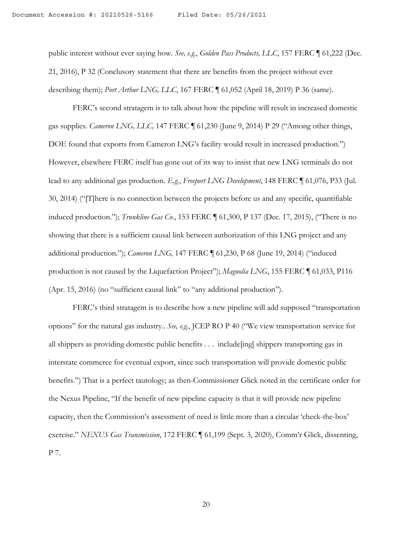public interest without ever saying how. *See, e.g.*, *Golden Pass Products, LLC*, 157 FERC ¶ 61,222 (Dec. 21, 2016), P 32 (Conclusory statement that there are benefits from the project without ever describing them); *Port Arthur LNG, LLC*, 167 FERC ¶ 61,052 (April 18, 2019) P 36 (same).

FERC's second stratagem is to talk about how the pipeline will result in increased domestic gas supplies. *Cameron LNG, LLC,* 147 FERC ¶ 61,230 (June 9, 2014) P 29 ("Among other things, DOE found that exports from Cameron LNG's facility would result in increased production.") However, elsewhere FERC itself has gone out of its way to insist that new LNG terminals do not lead to any additional gas production. *E.g.*, *Freeport LNG Development*, 148 FERC ¶ 61,076, P33 (Jul. 30, 2014) ("[T]here is no connection between the projects before us and any specific, quantifiable induced production."); *Trunkline Gas Co.*, 153 FERC ¶ 61,300, P 137 (Dec. 17, 2015), ("There is no showing that there is a sufficient causal link between authorization of this LNG project and any additional production."); *Cameron LNG,* 147 FERC ¶ 61,230, P 68 (June 19, 2014) ("induced production is not caused by the Liquefaction Project"); *Magnolia LNG*, 155 FERC ¶ 61,033, P116 (Apr. 15, 2016) (no "sufficient causal link" to "any additional production").

FERC's third stratagem is to describe how a new pipeline will add supposed "transportation options" for the natural gas industry.. *See, e.g.*, JCEP RO P 40 ("We view transportation service for all shippers as providing domestic public benefits . . . include[ing] shippers transporting gas in interstate commerce for eventual export, since such transportation will provide domestic public benefits.") That is a perfect tautology; as then-Commissioner Glick noted in the certificate order for the Nexus Pipeline, "If the benefit of new pipeline capacity is that it will provide new pipeline capacity, then the Commission's assessment of need is little more than a circular 'check-the-box' exercise." *NEXUS Gas Transmission*, 172 FERC ¶ 61,199 (Sept. 3, 2020), Comm'r Glick, dissenting, P 7.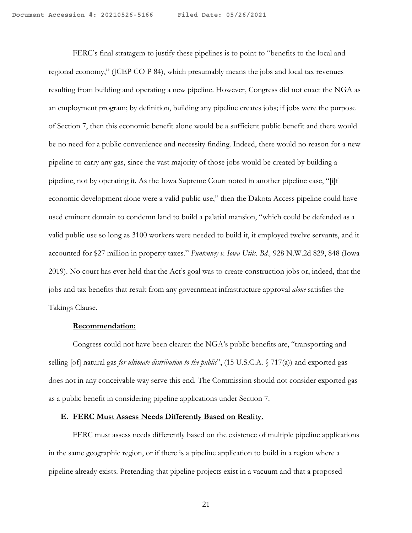FERC's final stratagem to justify these pipelines is to point to "benefits to the local and regional economy," (JCEP CO P 84), which presumably means the jobs and local tax revenues resulting from building and operating a new pipeline. However, Congress did not enact the NGA as an employment program; by definition, building any pipeline creates jobs; if jobs were the purpose of Section 7, then this economic benefit alone would be a sufficient public benefit and there would be no need for a public convenience and necessity finding. Indeed, there would no reason for a new pipeline to carry any gas, since the vast majority of those jobs would be created by building a pipeline, not by operating it. As the Iowa Supreme Court noted in another pipeline case, "[i]f economic development alone were a valid public use," then the Dakota Access pipeline could have used eminent domain to condemn land to build a palatial mansion, "which could be defended as a valid public use so long as 3100 workers were needed to build it, it employed twelve servants, and it accounted for \$27 million in property taxes." *Puntenney v. Iowa Utils. Bd.,* 928 N.W.2d 829, 848 (Iowa 2019). No court has ever held that the Act's goal was to create construction jobs or, indeed, that the jobs and tax benefits that result from any government infrastructure approval *alone* satisfies the Takings Clause.

#### **Recommendation:**

Congress could not have been clearer: the NGA's public benefits are, "transporting and selling [of] natural gas *for ultimate distribution to the public*", (15 U.S.C.A. § 717(a)) and exported gas does not in any conceivable way serve this end. The Commission should not consider exported gas as a public benefit in considering pipeline applications under Section 7.

#### **E. FERC Must Assess Needs Differently Based on Reality.**

FERC must assess needs differently based on the existence of multiple pipeline applications in the same geographic region, or if there is a pipeline application to build in a region where a pipeline already exists. Pretending that pipeline projects exist in a vacuum and that a proposed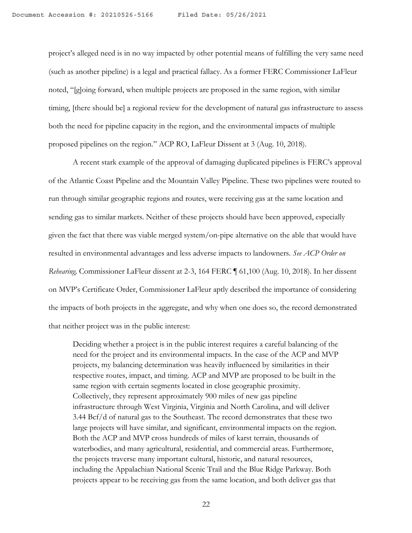project's alleged need is in no way impacted by other potential means of fulfilling the very same need (such as another pipeline) is a legal and practical fallacy. As a former FERC Commissioner LaFleur noted, "[g]oing forward, when multiple projects are proposed in the same region, with similar timing, [there should be] a regional review for the development of natural gas infrastructure to assess both the need for pipeline capacity in the region, and the environmental impacts of multiple proposed pipelines on the region." ACP RO, LaFleur Dissent at 3 (Aug. 10, 2018).

A recent stark example of the approval of damaging duplicated pipelines is FERC's approval of the Atlantic Coast Pipeline and the Mountain Valley Pipeline. These two pipelines were routed to run through similar geographic regions and routes, were receiving gas at the same location and sending gas to similar markets. Neither of these projects should have been approved, especially given the fact that there was viable merged system/on-pipe alternative on the able that would have resulted in environmental advantages and less adverse impacts to landowners. *See ACP Order on Rehearing,* Commissioner LaFleur dissent at 2-3, 164 FERC ¶ 61,100 (Aug. 10, 2018). In her dissent on MVP's Certificate Order, Commissioner LaFleur aptly described the importance of considering the impacts of both projects in the aggregate, and why when one does so, the record demonstrated that neither project was in the public interest:

Deciding whether a project is in the public interest requires a careful balancing of the need for the project and its environmental impacts. In the case of the ACP and MVP projects, my balancing determination was heavily influenced by similarities in their respective routes, impact, and timing. ACP and MVP are proposed to be built in the same region with certain segments located in close geographic proximity. Collectively, they represent approximately 900 miles of new gas pipeline infrastructure through West Virginia, Virginia and North Carolina, and will deliver 3.44 Bcf/d of natural gas to the Southeast. The record demonstrates that these two large projects will have similar, and significant, environmental impacts on the region. Both the ACP and MVP cross hundreds of miles of karst terrain, thousands of waterbodies, and many agricultural, residential, and commercial areas. Furthermore, the projects traverse many important cultural, historic, and natural resources, including the Appalachian National Scenic Trail and the Blue Ridge Parkway. Both projects appear to be receiving gas from the same location, and both deliver gas that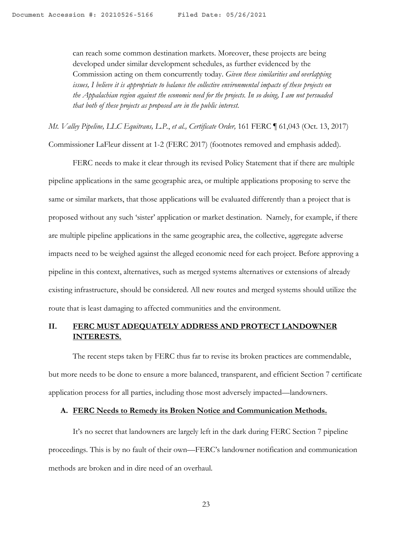can reach some common destination markets. Moreover, these projects are being developed under similar development schedules, as further evidenced by the Commission acting on them concurrently today. *Given these similarities and overlapping issues, I believe it is appropriate to balance the collective environmental impacts of these projects on the Appalachian region against the economic need for the projects. In so doing, I am not persuaded that both of these projects as proposed are in the public interest.*

*Mt. Valley Pipeline, LLC Equitrans, L.P.*, *et al., Certificate Order,* 161 FERC ¶ 61,043 (Oct. 13, 2017) Commissioner LaFleur dissent at 1-2 (FERC 2017) (footnotes removed and emphasis added).

FERC needs to make it clear through its revised Policy Statement that if there are multiple pipeline applications in the same geographic area, or multiple applications proposing to serve the same or similar markets, that those applications will be evaluated differently than a project that is proposed without any such 'sister' application or market destination. Namely, for example, if there are multiple pipeline applications in the same geographic area, the collective, aggregate adverse impacts need to be weighed against the alleged economic need for each project. Before approving a pipeline in this context, alternatives, such as merged systems alternatives or extensions of already existing infrastructure, should be considered. All new routes and merged systems should utilize the route that is least damaging to affected communities and the environment.

## **II. FERC MUST ADEQUATELY ADDRESS AND PROTECT LANDOWNER**  **INTERESTS.**

The recent steps taken by FERC thus far to revise its broken practices are commendable, but more needs to be done to ensure a more balanced, transparent, and efficient Section 7 certificate application process for all parties, including those most adversely impacted—landowners.

## **A. FERC Needs to Remedy its Broken Notice and Communication Methods.**

It's no secret that landowners are largely left in the dark during FERC Section 7 pipeline proceedings. This is by no fault of their own—FERC's landowner notification and communication methods are broken and in dire need of an overhaul.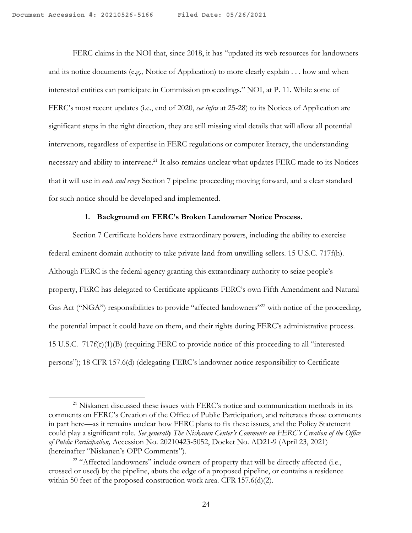FERC claims in the NOI that, since 2018, it has "updated its web resources for landowners and its notice documents (e.g., Notice of Application) to more clearly explain . . . how and when interested entities can participate in Commission proceedings." NOI, at P. 11. While some of FERC's most recent updates (i.e., end of 2020, *see infra* at 25-28) to its Notices of Application are significant steps in the right direction, they are still missing vital details that will allow all potential intervenors, regardless of expertise in FERC regulations or computer literacy, the understanding necessary and ability to intervene.<sup>21</sup> It also remains unclear what updates FERC made to its Notices that it will use in *each and every* Section 7 pipeline proceeding moving forward, and a clear standard for such notice should be developed and implemented.

#### **1. Background on FERC's Broken Landowner Notice Process.**

Section 7 Certificate holders have extraordinary powers, including the ability to exercise federal eminent domain authority to take private land from unwilling sellers. 15 U.S.C. 717f(h). Although FERC is the federal agency granting this extraordinary authority to seize people's property, FERC has delegated to Certificate applicants FERC's own Fifth Amendment and Natural Gas Act ("NGA") responsibilities to provide "affected landowners"<sup>22</sup> with notice of the proceeding, the potential impact it could have on them, and their rights during FERC's administrative process. 15 U.S.C. 717f(c)(1)(B) (requiring FERC to provide notice of this proceeding to all "interested persons"); 18 CFR 157.6(d) (delegating FERC's landowner notice responsibility to Certificate

<sup>&</sup>lt;sup>21</sup> Niskanen discussed these issues with FERC's notice and communication methods in its comments on FERC's Creation of the Office of Public Participation, and reiterates those comments in part here—as it remains unclear how FERC plans to fix these issues, and the Policy Statement could play a significant role. *See generally The Niskanen Center's Comments on FERC's Creation of the Office of Public Participation,* Accession No. 20210423-5052, Docket No. AD21-9 (April 23, 2021) (hereinafter "Niskanen's OPP Comments").

<sup>&</sup>lt;sup>22</sup> "Affected landowners" include owners of property that will be directly affected (i.e., crossed or used) by the pipeline, abuts the edge of a proposed pipeline, or contains a residence within 50 feet of the proposed construction work area. CFR 157.6(d)(2).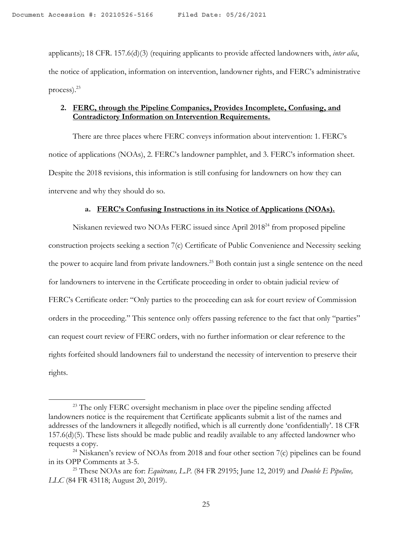applicants); 18 CFR. 157.6(d)(3) (requiring applicants to provide affected landowners with, *inter alia*, the notice of application, information on intervention, landowner rights, and FERC's administrative process).23

## **2. FERC, through the Pipeline Companies, Provides Incomplete, Confusing, and Contradictory Information on Intervention Requirements.**

There are three places where FERC conveys information about intervention: 1. FERC's notice of applications (NOAs), 2. FERC's landowner pamphlet, and 3. FERC's information sheet. Despite the 2018 revisions, this information is still confusing for landowners on how they can intervene and why they should do so.

## **a. FERC's Confusing Instructions in its Notice of Applications (NOAs).**

Niskanen reviewed two NOAs FERC issued since April 201824 from proposed pipeline construction projects seeking a section 7(c) Certificate of Public Convenience and Necessity seeking the power to acquire land from private landowners.<sup>25</sup> Both contain just a single sentence on the need for landowners to intervene in the Certificate proceeding in order to obtain judicial review of FERC's Certificate order: "Only parties to the proceeding can ask for court review of Commission orders in the proceeding." This sentence only offers passing reference to the fact that only "parties" can request court review of FERC orders, with no further information or clear reference to the rights forfeited should landowners fail to understand the necessity of intervention to preserve their rights.

<sup>&</sup>lt;sup>23</sup> The only FERC oversight mechanism in place over the pipeline sending affected landowners notice is the requirement that Certificate applicants submit a list of the names and addresses of the landowners it allegedly notified, which is all currently done 'confidentially'. 18 CFR 157.6(d)(5). These lists should be made public and readily available to any affected landowner who requests a copy.

<sup>&</sup>lt;sup>24</sup> Niskanen's review of NOAs from 2018 and four other section 7(c) pipelines can be found in its OPP Comments at 3-5.

<sup>25</sup> These NOAs are for: *Equitrans, L.P.* (84 FR 29195; June 12, 2019) and *Double E Pipeline, LLC* (84 FR 43118; August 20, 2019).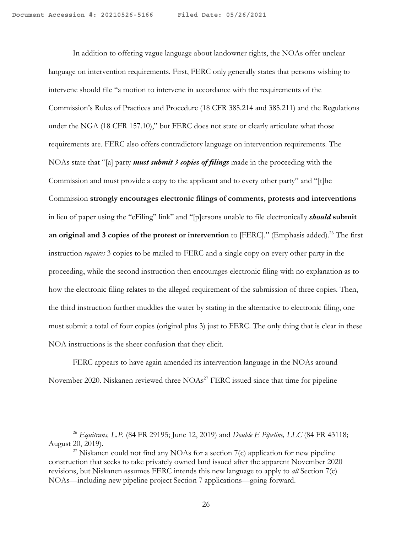In addition to offering vague language about landowner rights, the NOAs offer unclear language on intervention requirements. First, FERC only generally states that persons wishing to intervene should file "a motion to intervene in accordance with the requirements of the Commission's Rules of Practices and Procedure (18 CFR 385.214 and 385.211) and the Regulations under the NGA (18 CFR 157.10)," but FERC does not state or clearly articulate what those requirements are. FERC also offers contradictory language on intervention requirements. The NOAs state that "[a] party *must submit 3 copies of filings* made in the proceeding with the Commission and must provide a copy to the applicant and to every other party" and "[t]he Commission **strongly encourages electronic filings of comments, protests and interventions** in lieu of paper using the "eFiling" link" and "[p]ersons unable to file electronically *should* **submit**  an original and 3 copies of the protest or intervention to [FERC]." (Emphasis added).<sup>26</sup> The first instruction *requires* 3 copies to be mailed to FERC and a single copy on every other party in the proceeding, while the second instruction then encourages electronic filing with no explanation as to how the electronic filing relates to the alleged requirement of the submission of three copies. Then, the third instruction further muddies the water by stating in the alternative to electronic filing, one must submit a total of four copies (original plus 3) just to FERC. The only thing that is clear in these NOA instructions is the sheer confusion that they elicit.

FERC appears to have again amended its intervention language in the NOAs around November 2020. Niskanen reviewed three NOAs<sup>27</sup> FERC issued since that time for pipeline

<sup>26</sup> *Equitrans, L.P.* (84 FR 29195; June 12, 2019) and *Double E Pipeline, LLC* (84 FR 43118; August 20, 2019).

 $27$  Niskanen could not find any NOAs for a section  $7(c)$  application for new pipeline construction that seeks to take privately owned land issued after the apparent November 2020 revisions, but Niskanen assumes FERC intends this new language to apply to *all* Section 7(c) NOAs—including new pipeline project Section 7 applications—going forward.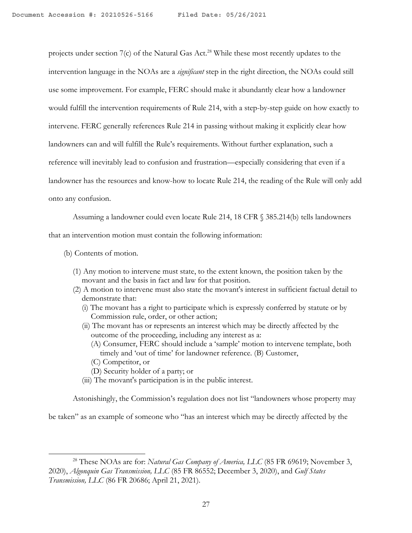projects under section 7(c) of the Natural Gas Act.<sup>28</sup> While these most recently updates to the intervention language in the NOAs are a *significant* step in the right direction, the NOAs could still use some improvement. For example, FERC should make it abundantly clear how a landowner would fulfill the intervention requirements of Rule 214, with a step-by-step guide on how exactly to intervene. FERC generally references Rule 214 in passing without making it explicitly clear how landowners can and will fulfill the Rule's requirements. Without further explanation, such a reference will inevitably lead to confusion and frustration—especially considering that even if a landowner has the resources and know-how to locate Rule 214, the reading of the Rule will only add onto any confusion.

Assuming a landowner could even locate Rule 214, 18 CFR § 385.214(b) tells landowners that an intervention motion must contain the following information:

- (b) Contents of motion.
	- (1) Any motion to intervene must state, to the extent known, the position taken by the movant and the basis in fact and law for that position.
	- (2) A motion to intervene must also state the movant's interest in sufficient factual detail to demonstrate that:
		- (i) The movant has a right to participate which is expressly conferred by statute or by Commission rule, order, or other action;
		- (ii) The movant has or represents an interest which may be directly affected by the outcome of the proceeding, including any interest as a:
			- (A) Consumer, FERC should include a 'sample' motion to intervene template, both timely and 'out of time' for landowner reference. (B) Customer,
			- (C) Competitor, or
			- (D) Security holder of a party; or
		- (iii) The movant's participation is in the public interest.

Astonishingly, the Commission's regulation does not list "landowners whose property may

be taken" as an example of someone who "has an interest which may be directly affected by the

<sup>&</sup>lt;sup>28</sup> These NOAs are for: *Natural Gas Company of America, LLC* (85 FR 69619; November 3, 2020), *Algonquin Gas Transmission, LLC* (85 FR 86552; December 3, 2020), and *Gulf States Transmission, LLC* (86 FR 20686; April 21, 2021).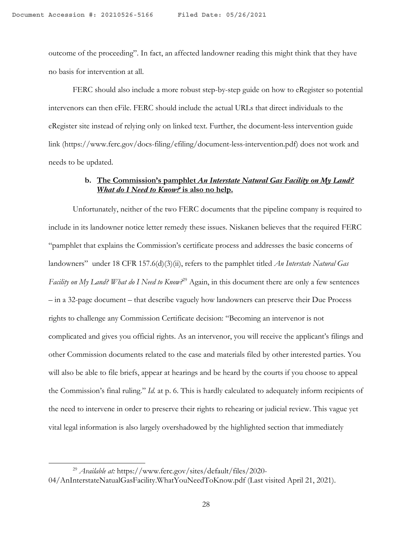outcome of the proceeding". In fact, an affected landowner reading this might think that they have no basis for intervention at all.

FERC should also include a more robust step-by-step guide on how to eRegister so potential intervenors can then eFile. FERC should include the actual URLs that direct individuals to the eRegister site instead of relying only on linked text. Further, the document-less intervention guide link (https://www.ferc.gov/docs-filing/efiling/document-less-intervention.pdf) does not work and needs to be updated.

### **b. The Commission's pamphlet** *An Interstate Natural Gas Facility on My Land? What do I Need to Know?* **is also no help.**

Unfortunately, neither of the two FERC documents that the pipeline company is required to include in its landowner notice letter remedy these issues. Niskanen believes that the required FERC "pamphlet that explains the Commission's certificate process and addresses the basic concerns of landowners" under 18 CFR 157.6(d)(3)(ii), refers to the pamphlet titled *An Interstate Natural Gas Facility on My Land? What do I Need to Know?*<sup>29</sup> Again, in this document there are only a few sentences – in a 32-page document – that describe vaguely how landowners can preserve their Due Process rights to challenge any Commission Certificate decision: "Becoming an intervenor is not complicated and gives you official rights. As an intervenor, you will receive the applicant's filings and other Commission documents related to the case and materials filed by other interested parties. You will also be able to file briefs, appear at hearings and be heard by the courts if you choose to appeal the Commission's final ruling." *Id.* at p. 6. This is hardly calculated to adequately inform recipients of the need to intervene in order to preserve their rights to rehearing or judicial review. This vague yet vital legal information is also largely overshadowed by the highlighted section that immediately

<sup>29</sup> *Available at:* https://www.ferc.gov/sites/default/files/2020- 04/AnInterstateNatualGasFacility.WhatYouNeedToKnow.pdf (Last visited April 21, 2021).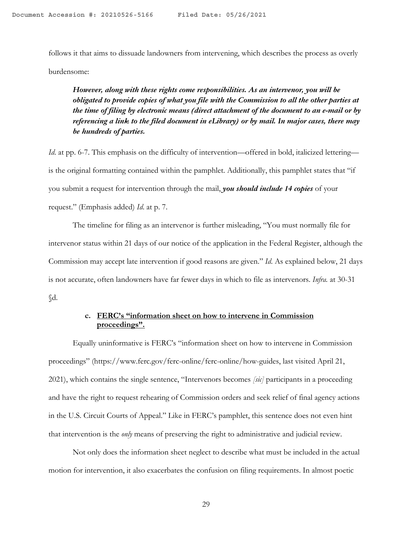follows it that aims to dissuade landowners from intervening, which describes the process as overly burdensome:

*However, along with these rights come responsibilities. As an intervenor, you will be obligated to provide copies of what you file with the Commission to all the other parties at the time of filing by electronic means (direct attachment of the document to an e-mail or by referencing a link to the filed document in eLibrary) or by mail. In major cases, there may be hundreds of parties.*

*Id.* at pp. 6-7. This emphasis on the difficulty of intervention—offered in bold, italicized lettering is the original formatting contained within the pamphlet. Additionally, this pamphlet states that "if you submit a request for intervention through the mail, *you should include 14 copies* of your request." (Emphasis added) *Id*. at p. 7.

The timeline for filing as an intervenor is further misleading, "You must normally file for intervenor status within 21 days of our notice of the application in the Federal Register, although the Commission may accept late intervention if good reasons are given." *Id*. As explained below, 21 days is not accurate, often landowners have far fewer days in which to file as intervenors. *Infra.* at 30-31 §d.

## **c. FERC's "information sheet on how to intervene in Commission proceedings".**

Equally uninformative is FERC's "information sheet on how to intervene in Commission proceedings" (https://www.ferc.gov/ferc-online/ferc-online/how-guides, last visited April 21, 2021), which contains the single sentence, "Intervenors becomes *[sic]* participants in a proceeding and have the right to request rehearing of Commission orders and seek relief of final agency actions in the U.S. Circuit Courts of Appeal." Like in FERC's pamphlet, this sentence does not even hint that intervention is the *only* means of preserving the right to administrative and judicial review.

Not only does the information sheet neglect to describe what must be included in the actual motion for intervention, it also exacerbates the confusion on filing requirements. In almost poetic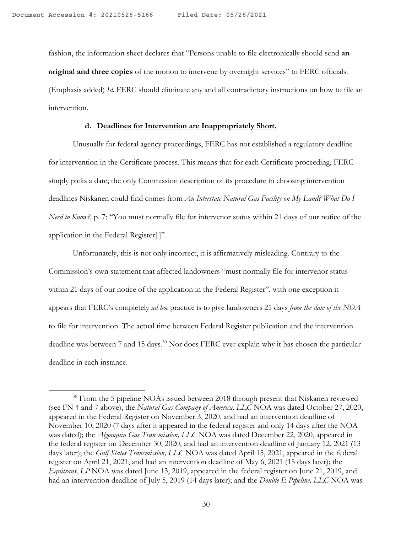fashion, the information sheet declares that "Persons unable to file electronically should send **an original and three copies** of the motion to intervene by overnight services" to FERC officials. (Emphasis added) *Id*. FERC should eliminate any and all contradictory instructions on how to file an intervention.

## **d. Deadlines for Intervention are Inappropriately Short.**

Unusually for federal agency proceedings, FERC has not established a regulatory deadline for intervention in the Certificate process. This means that for each Certificate proceeding, FERC simply picks a date; the only Commission description of its procedure in choosing intervention deadlines Niskanen could find comes from *An Interstate Natural Gas Facility on My Land? What Do I Need to Know?*, p. 7: "You must normally file for intervenor status within 21 days of our notice of the application in the Federal Register[.]"

Unfortunately, this is not only incorrect, it is affirmatively misleading. Contrary to the Commission's own statement that affected landowners "must normally file for intervenor status within 21 days of our notice of the application in the Federal Register", with one exception it appears that FERC's completely *ad hoc* practice is to give landowners 21 days *from the date of the NOA*  to file for intervention. The actual time between Federal Register publication and the intervention deadline was between 7 and 15 days.<sup>30</sup> Nor does FERC ever explain why it has chosen the particular deadline in each instance.

<sup>&</sup>lt;sup>30</sup> From the 5 pipeline NOAs issued between 2018 through present that Niskanen reviewed (see FN 4 and 7 above), the *Natural Gas Company of America, LLC* NOA was dated October 27, 2020, appeared in the Federal Register on November 3, 2020, and had an intervention deadline of November 10, 2020 (7 days after it appeared in the federal register and only 14 days after the NOA was dated); the *Algonquin Gas Transmission, LLC* NOA was dated December 22, 2020, appeared in the federal register on December 30, 2020, and had an intervention deadline of January 12, 2021 (13 days later); the *Gulf States Transmission, LLC* NOA was dated April 15, 2021, appeared in the federal register on April 21, 2021, and had an intervention deadline of May 6, 2021 (15 days later); the *Equitrans, LP* NOA was dated June 13, 2019, appeared in the federal register on June 21, 2019, and had an intervention deadline of July 5, 2019 (14 days later); and the *Double E Pipeline, LLC* NOA was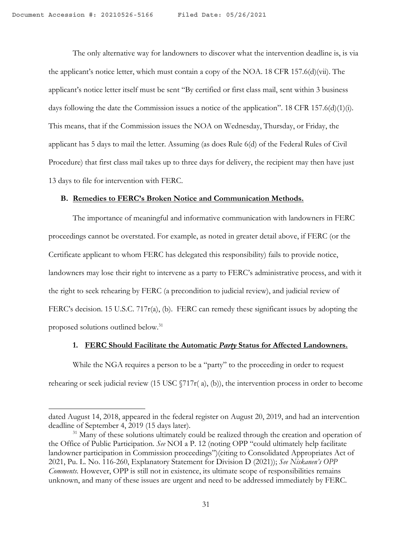The only alternative way for landowners to discover what the intervention deadline is, is via the applicant's notice letter, which must contain a copy of the NOA. 18 CFR 157.6(d)(vii). The applicant's notice letter itself must be sent "By certified or first class mail, sent within 3 business days following the date the Commission issues a notice of the application". 18 CFR 157.6(d)(1)(i). This means, that if the Commission issues the NOA on Wednesday, Thursday, or Friday, the applicant has 5 days to mail the letter. Assuming (as does Rule 6(d) of the Federal Rules of Civil Procedure) that first class mail takes up to three days for delivery, the recipient may then have just 13 days to file for intervention with FERC.

#### **B. Remedies to FERC's Broken Notice and Communication Methods.**

The importance of meaningful and informative communication with landowners in FERC proceedings cannot be overstated. For example, as noted in greater detail above, if FERC (or the Certificate applicant to whom FERC has delegated this responsibility) fails to provide notice, landowners may lose their right to intervene as a party to FERC's administrative process, and with it the right to seek rehearing by FERC (a precondition to judicial review), and judicial review of FERC's decision. 15 U.S.C. 717 $r(a)$ , (b). FERC can remedy these significant issues by adopting the proposed solutions outlined below.31

### **1. FERC Should Facilitate the Automatic** *Party* **Status for Affected Landowners.**

While the NGA requires a person to be a "party" to the proceeding in order to request rehearing or seek judicial review (15 USC  $\frac{5}{717r(a)}$ , (b)), the intervention process in order to become

dated August 14, 2018, appeared in the federal register on August 20, 2019, and had an intervention deadline of September 4, 2019 (15 days later).

<sup>&</sup>lt;sup>31</sup> Many of these solutions ultimately could be realized through the creation and operation of the Office of Public Participation. *See* NOI a P. 12 (noting OPP "could ultimately help facilitate landowner participation in Commission proceedings")(citing to Consolidated Appropriates Act of 2021, Pu. L. No. 116-260, Explanatory Statement for Division D (2021)); *See Niskanen's OPP Comments*. However, OPP is still not in existence, its ultimate scope of responsibilities remains unknown, and many of these issues are urgent and need to be addressed immediately by FERC.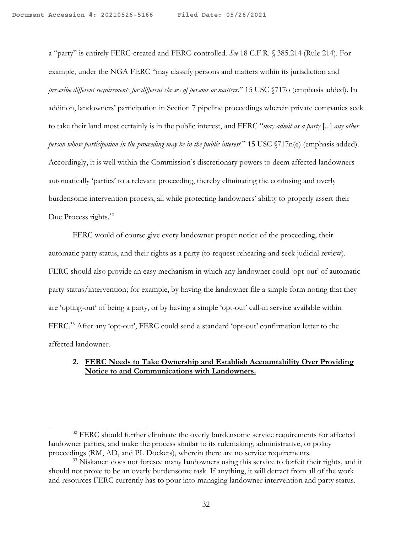a "party" is entirely FERC-created and FERC-controlled. *See* 18 C.F.R. § 385.214 (Rule 214). For example, under the NGA FERC "may classify persons and matters within its jurisdiction and *prescribe different requirements for different classes of persons or matters.*" 15 USC §717o (emphasis added). In addition, landowners' participation in Section 7 pipeline proceedings wherein private companies seek to take their land most certainly is in the public interest, and FERC "*may admit as a party* [...] *any other person whose participation in the proceeding may be in the public interest.*" 15 USC §717n(e) (emphasis added). Accordingly, it is well within the Commission's discretionary powers to deem affected landowners automatically 'parties' to a relevant proceeding, thereby eliminating the confusing and overly burdensome intervention process, all while protecting landowners' ability to properly assert their Due Process rights.<sup>32</sup>

FERC would of course give every landowner proper notice of the proceeding, their automatic party status, and their rights as a party (to request rehearing and seek judicial review). FERC should also provide an easy mechanism in which any landowner could 'opt-out' of automatic party status/intervention; for example, by having the landowner file a simple form noting that they are 'opting-out' of being a party, or by having a simple 'opt-out' call-in service available within FERC.<sup>33</sup> After any 'opt-out', FERC could send a standard 'opt-out' confirmation letter to the affected landowner.

## **2. FERC Needs to Take Ownership and Establish Accountability Over Providing Notice to and Communications with Landowners.**

<sup>&</sup>lt;sup>32</sup> FERC should further eliminate the overly burdensome service requirements for affected landowner parties, and make the process similar to its rulemaking, administrative, or policy proceedings (RM, AD, and PL Dockets), wherein there are no service requirements.

<sup>&</sup>lt;sup>33</sup> Niskanen does not foresee many landowners using this service to forfeit their rights, and it should not prove to be an overly burdensome task. If anything, it will detract from all of the work and resources FERC currently has to pour into managing landowner intervention and party status.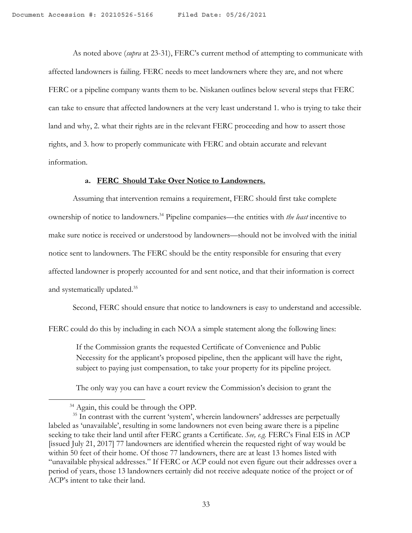As noted above (*supra* at 23-31), FERC's current method of attempting to communicate with affected landowners is failing. FERC needs to meet landowners where they are, and not where FERC or a pipeline company wants them to be. Niskanen outlines below several steps that FERC can take to ensure that affected landowners at the very least understand 1. who is trying to take their land and why, 2. what their rights are in the relevant FERC proceeding and how to assert those rights, and 3. how to properly communicate with FERC and obtain accurate and relevant information.

#### **a. FERC Should Take Over Notice to Landowners.**

Assuming that intervention remains a requirement, FERC should first take complete ownership of notice to landowners.34 Pipeline companies—the entities with *the least* incentive to make sure notice is received or understood by landowners—should not be involved with the initial notice sent to landowners. The FERC should be the entity responsible for ensuring that every affected landowner is properly accounted for and sent notice, and that their information is correct and systematically updated.35

Second, FERC should ensure that notice to landowners is easy to understand and accessible.

FERC could do this by including in each NOA a simple statement along the following lines:

If the Commission grants the requested Certificate of Convenience and Public Necessity for the applicant's proposed pipeline, then the applicant will have the right, subject to paying just compensation, to take your property for its pipeline project.

The only way you can have a court review the Commission's decision to grant the

<sup>&</sup>lt;sup>34</sup> Again, this could be through the OPP.

<sup>&</sup>lt;sup>35</sup> In contrast with the current 'system', wherein landowners' addresses are perpetually labeled as 'unavailable', resulting in some landowners not even being aware there is a pipeline seeking to take their land until after FERC grants a Certificate. *See, e.g.* FERC's Final EIS in ACP [issued July 21, 2017] 77 landowners are identified wherein the requested right of way would be within 50 feet of their home. Of those 77 landowners, there are at least 13 homes listed with "unavailable physical addresses." If FERC or ACP could not even figure out their addresses over a period of years, those 13 landowners certainly did not receive adequate notice of the project or of ACP's intent to take their land.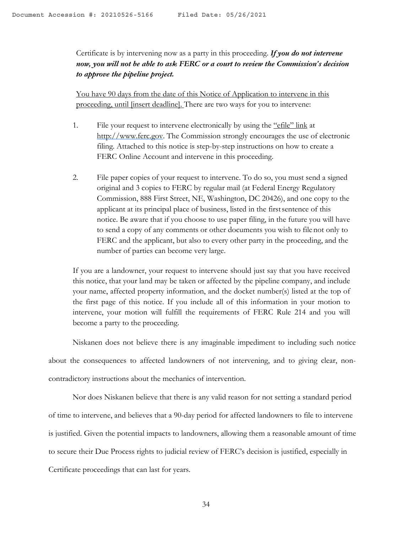Certificate is by intervening now as a party in this proceeding. *If you do not intervene now, you will not be able to ask FERC or a court to review the Commission's decision to approve the pipeline project.*

You have 90 days from the date of this Notice of Application to intervene in this proceeding, until [insert deadline]. There are two ways for you to intervene:

- 1. File your request to intervene electronically by using the "efile" link at http://www.ferc.gov. The Commission strongly encourages the use of electronic filing. Attached to this notice is step-by-step instructions on how to create a FERC Online Account and intervene in this proceeding.
- 2. File paper copies of your request to intervene. To do so, you must send a signed original and 3 copies to FERC by regular mail (at Federal Energy Regulatory Commission, 888 First Street, NE, Washington, DC 20426), and one copy to the applicant at its principal place of business, listed in the firstsentence of this notice. Be aware that if you choose to use paper filing, in the future you will have to send a copy of any comments or other documents you wish to file not only to FERC and the applicant, but also to every other party in the proceeding, and the number of parties can become very large.

If you are a landowner, your request to intervene should just say that you have received this notice, that your land may be taken or affected by the pipeline company, and include your name, affected property information, and the docket number(s) listed at the top of the first page of this notice. If you include all of this information in your motion to intervene, your motion will fulfill the requirements of FERC Rule 214 and you will become a party to the proceeding.

Niskanen does not believe there is any imaginable impediment to including such notice about the consequences to affected landowners of not intervening, and to giving clear, noncontradictory instructions about the mechanics of intervention.

Nor does Niskanen believe that there is any valid reason for not setting a standard period of time to intervene, and believes that a 90-day period for affected landowners to file to intervene is justified. Given the potential impacts to landowners, allowing them a reasonable amount of time to secure their Due Process rights to judicial review of FERC's decision is justified, especially in Certificate proceedings that can last for years.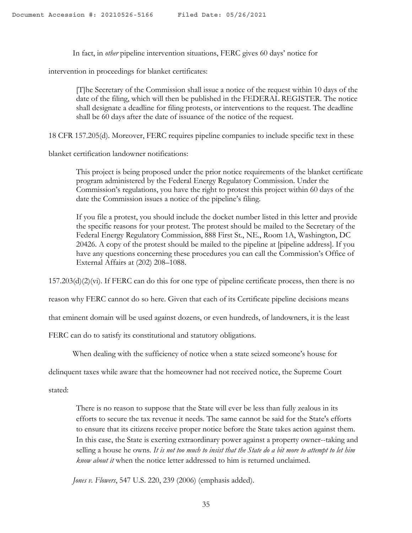In fact, in *other* pipeline intervention situations, FERC gives 60 days' notice for

intervention in proceedings for blanket certificates:

[T]he Secretary of the Commission shall issue a notice of the request within 10 days of the date of the filing, which will then be published in the FEDERAL REGISTER. The notice shall designate a deadline for filing protests, or interventions to the request. The deadline shall be 60 days after the date of issuance of the notice of the request.

18 CFR 157.205(d). Moreover, FERC requires pipeline companies to include specific text in these

blanket certification landowner notifications:

This project is being proposed under the prior notice requirements of the blanket certificate program administered by the Federal Energy Regulatory Commission. Under the Commission's regulations, you have the right to protest this project within 60 days of the date the Commission issues a notice of the pipeline's filing.

If you file a protest, you should include the docket number listed in this letter and provide the specific reasons for your protest. The protest should be mailed to the Secretary of the Federal Energy Regulatory Commission, 888 First St., NE., Room 1A, Washington, DC 20426. A copy of the protest should be mailed to the pipeline at [pipeline address]. If you have any questions concerning these procedures you can call the Commission's Office of External Affairs at (202) 208–1088.

157.203(d)(2)(vi). If FERC can do this for one type of pipeline certificate process, then there is no

reason why FERC cannot do so here. Given that each of its Certificate pipeline decisions means

that eminent domain will be used against dozens, or even hundreds, of landowners, it is the least

FERC can do to satisfy its constitutional and statutory obligations.

When dealing with the sufficiency of notice when a state seized someone's house for

delinquent taxes while aware that the homeowner had not received notice, the Supreme Court

stated:

There is no reason to suppose that the State will ever be less than fully zealous in its efforts to secure the tax revenue it needs. The same cannot be said for the State's efforts to ensure that its citizens receive proper notice before the State takes action against them. In this case, the State is exerting extraordinary power against a property owner--taking and selling a house he owns*. It is not too much to insist that the State do a bit more to attempt to let him know about it* when the notice letter addressed to him is returned unclaimed.

*Jones v. Flowers*, 547 U.S. 220, 239 (2006) (emphasis added).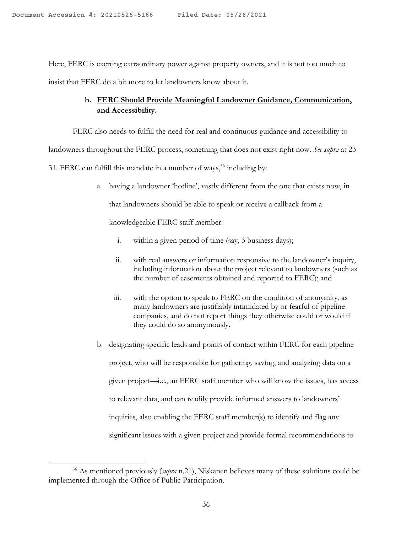Here, FERC is exerting extraordinary power against property owners, and it is not too much to insist that FERC do a bit more to let landowners know about it.

## **b. FERC Should Provide Meaningful Landowner Guidance, Communication, and Accessibility.**

FERC also needs to fulfill the need for real and continuous guidance and accessibility to

landowners throughout the FERC process, something that does not exist right now. *See supra* at 23-

31. FERC can fulfill this mandate in a number of ways, $36$  including by:

a. having a landowner 'hotline', vastly different from the one that exists now, in

that landowners should be able to speak or receive a callback from a

knowledgeable FERC staff member:

- i. within a given period of time (say, 3 business days);
- ii. with real answers or information responsive to the landowner's inquiry, including information about the project relevant to landowners (such as the number of easements obtained and reported to FERC); and
- iii. with the option to speak to FERC on the condition of anonymity, as many landowners are justifiably intimidated by or fearful of pipeline companies, and do not report things they otherwise could or would if they could do so anonymously.
- b. designating specific leads and points of contact within FERC for each pipeline project, who will be responsible for gathering, saving, and analyzing data on a given project—i.e., an FERC staff member who will know the issues, has access to relevant data, and can readily provide informed answers to landowners' inquiries, also enabling the FERC staff member(s) to identify and flag any significant issues with a given project and provide formal recommendations to

<sup>36</sup> As mentioned previously (*supra* n.21), Niskanen believes many of these solutions could be implemented through the Office of Public Participation.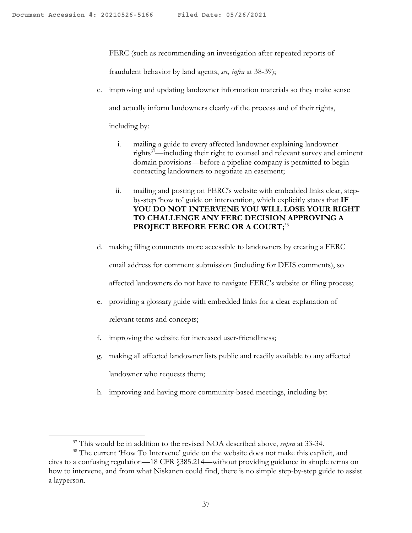FERC (such as recommending an investigation after repeated reports of

fraudulent behavior by land agents, *see, infra* at 38-39);

c. improving and updating landowner information materials so they make sense and actually inform landowners clearly of the process and of their rights,

including by:

- i. mailing a guide to every affected landowner explaining landowner rights<sup>37</sup>—including their right to counsel and relevant survey and eminent domain provisions—before a pipeline company is permitted to begin contacting landowners to negotiate an easement;
- ii. mailing and posting on FERC's website with embedded links clear, stepby-step 'how to' guide on intervention, which explicitly states that **IF YOU DO NOT INTERVENE YOU WILL LOSE YOUR RIGHT TO CHALLENGE ANY FERC DECISION APPROVING A PROJECT BEFORE FERC OR A COURT;**<sup>38</sup>
- d. making filing comments more accessible to landowners by creating a FERC

email address for comment submission (including for DEIS comments), so

affected landowners do not have to navigate FERC's website or filing process;

- e. providing a glossary guide with embedded links for a clear explanation of relevant terms and concepts;
- f. improving the website for increased user-friendliness;
- g. making all affected landowner lists public and readily available to any affected landowner who requests them;
- h. improving and having more community-based meetings, including by:

<sup>37</sup> This would be in addition to the revised NOA described above, *supra* at 33-34.

<sup>&</sup>lt;sup>38</sup> The current 'How To Intervene' guide on the website does not make this explicit, and cites to a confusing regulation—18 CFR §385.214—without providing guidance in simple terms on how to intervene, and from what Niskanen could find, there is no simple step-by-step guide to assist a layperson.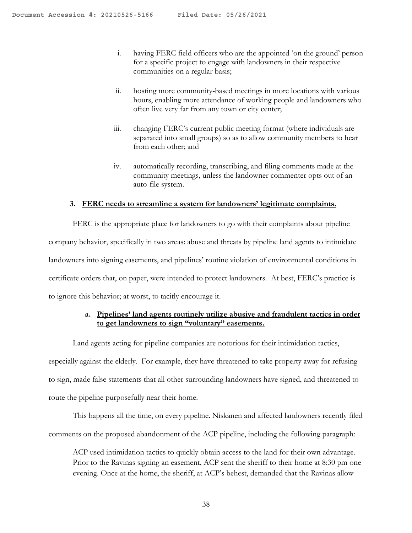- i. having FERC field officers who are the appointed 'on the ground' person for a specific project to engage with landowners in their respective communities on a regular basis;
- ii. hosting more community-based meetings in more locations with various hours, enabling more attendance of working people and landowners who often live very far from any town or city center;
- iii. changing FERC's current public meeting format (where individuals are separated into small groups) so as to allow community members to hear from each other; and
- iv. automatically recording, transcribing, and filing comments made at the community meetings, unless the landowner commenter opts out of an auto-file system.

#### **3. FERC needs to streamline a system for landowners' legitimate complaints.**

FERC is the appropriate place for landowners to go with their complaints about pipeline company behavior, specifically in two areas: abuse and threats by pipeline land agents to intimidate landowners into signing easements, and pipelines' routine violation of environmental conditions in certificate orders that, on paper, were intended to protect landowners. At best, FERC's practice is to ignore this behavior; at worst, to tacitly encourage it.

## **a. Pipelines' land agents routinely utilize abusive and fraudulent tactics in order to get landowners to sign "voluntary" easements.**

Land agents acting for pipeline companies are notorious for their intimidation tactics, especially against the elderly. For example, they have threatened to take property away for refusing to sign, made false statements that all other surrounding landowners have signed, and threatened to route the pipeline purposefully near their home.

This happens all the time, on every pipeline. Niskanen and affected landowners recently filed comments on the proposed abandonment of the ACP pipeline, including the following paragraph:

ACP used intimidation tactics to quickly obtain access to the land for their own advantage. Prior to the Ravinas signing an easement, ACP sent the sheriff to their home at 8:30 pm one evening. Once at the home, the sheriff, at ACP's behest, demanded that the Ravinas allow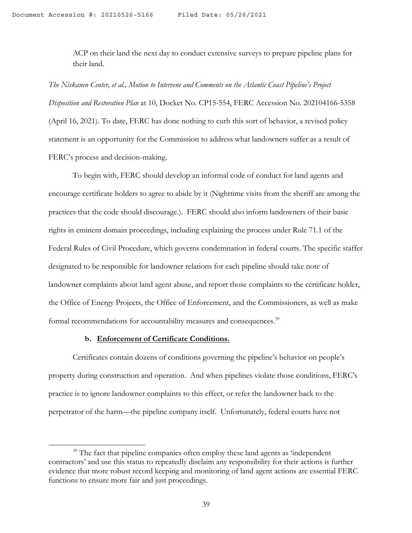ACP on their land the next day to conduct extensive surveys to prepare pipeline plans for their land.

*The Niskanen Center, et al., Motion to Intervene and Comments on the Atlantic Coast Pipeline's Project Disposition and Restoration Plan* at 10, Docket No. CP15-554, FERC Accession No. 202104166-5358 (April 16, 2021). To date, FERC has done nothing to curb this sort of behavior, a revised policy statement is an opportunity for the Commission to address what landowners suffer as a result of FERC's process and decision-making.

To begin with, FERC should develop an informal code of conduct for land agents and encourage certificate holders to agree to abide by it (Nighttime visits from the sheriff are among the practices that the code should discourage.). FERC should also inform landowners of their basic rights in eminent domain proceedings, including explaining the process under Rule 71.1 of the Federal Rules of Civil Procedure, which governs condemnation in federal courts. The specific staffer designated to be responsible for landowner relations for each pipeline should take note of landowner complaints about land agent abuse, and report those complaints to the certificate holder, the Office of Energy Projects, the Office of Enforcement, and the Commissioners, as well as make formal recommendations for accountability measures and consequences.<sup>39</sup>

#### **b. Enforcement of Certificate Conditions.**

Certificates contain dozens of conditions governing the pipeline's behavior on people's property during construction and operation. And when pipelines violate those conditions, FERC's practice is to ignore landowner complaints to this effect, or refer the landowner back to the perpetrator of the harm—the pipeline company itself. Unfortunately, federal courts have not

<sup>&</sup>lt;sup>39</sup> The fact that pipeline companies often employ these land agents as 'independent contractors' and use this status to repeatedly disclaim any responsibility for their actions is further evidence that more robust record keeping and monitoring of land agent actions are essential FERC functions to ensure more fair and just proceedings.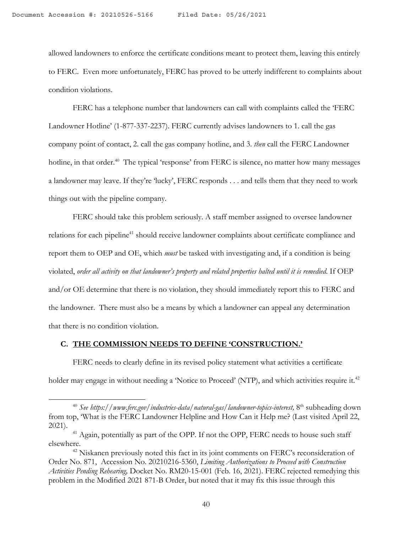allowed landowners to enforce the certificate conditions meant to protect them, leaving this entirely to FERC. Even more unfortunately, FERC has proved to be utterly indifferent to complaints about condition violations.

FERC has a telephone number that landowners can call with complaints called the 'FERC Landowner Hotline' (1-877-337-2237). FERC currently advises landowners to 1. call the gas company point of contact, 2. call the gas company hotline, and 3. *then* call the FERC Landowner hotline, in that order.<sup>40</sup> The typical 'response' from FERC is silence, no matter how many messages a landowner may leave. If they're 'lucky', FERC responds . . . and tells them that they need to work things out with the pipeline company.

FERC should take this problem seriously. A staff member assigned to oversee landowner relations for each pipeline<sup>41</sup> should receive landowner complaints about certificate compliance and report them to OEP and OE, which *must* be tasked with investigating and, if a condition is being violated, *order all activity on that landowner's property and related properties halted until it is remedied*. If OEP and/or OE determine that there is no violation, they should immediately report this to FERC and the landowner. There must also be a means by which a landowner can appeal any determination that there is no condition violation.

### **C. THE COMMISSION NEEDS TO DEFINE 'CONSTRUCTION.'**

FERC needs to clearly define in its revised policy statement what activities a certificate holder may engage in without needing a 'Notice to Proceed' (NTP), and which activities require it.<sup>42</sup>

<sup>&</sup>lt;sup>40</sup> See https://www.ferc.gov/industries-data/natural-gas/landowner-topics-interest, 8<sup>th</sup> subheading down from top, 'What is the FERC Landowner Helpline and How Can it Help me? (Last visited April 22, 2021).

<sup>&</sup>lt;sup>41</sup> Again, potentially as part of the OPP. If not the OPP, FERC needs to house such staff elsewhere. 42 Niskanen previously noted this fact in its joint comments on FERC's reconsideration of

Order No. 871, Accession No. 20210216-5360, *Limiting Authorizations to Proceed with Construction Activities Pending Rehearing,* Docket No. RM20-15-001 (Feb. 16, 2021). FERC rejected remedying this problem in the Modified 2021 871-B Order, but noted that it may fix this issue through this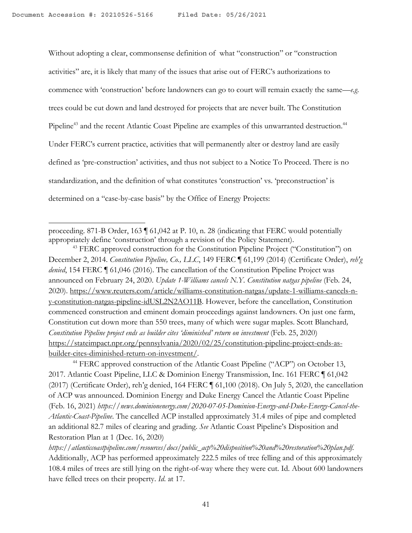Without adopting a clear, commonsense definition of what "construction" or "construction activities" are, it is likely that many of the issues that arise out of FERC's authorizations to commence with 'construction' before landowners can go to court will remain exactly the same—*e.g*. trees could be cut down and land destroyed for projects that are never built. The Constitution Pipeline<sup>43</sup> and the recent Atlantic Coast Pipeline are examples of this unwarranted destruction.<sup>44</sup> Under FERC's current practice, activities that will permanently alter or destroy land are easily defined as 'pre-construction' activities, and thus not subject to a Notice To Proceed. There is no standardization, and the definition of what constitutes 'construction' vs. 'preconstruction' is determined on a "case-by-case basis" by the Office of Energy Projects:

proceeding. 871-B Order, 163 ¶ 61,042 at P. 10, n. 28 (indicating that FERC would potentially appropriately define 'construction' through a revision of the Policy Statement).

<sup>43</sup> FERC approved construction for the Constitution Pipeline Project ("Constitution") on December 2, 2014. *Constitution Pipeline, Co., LLC*, 149 FERC ¶ 61,199 (2014) (Certificate Order), *reh'g denied*, 154 FERC ¶ 61,046 (2016). The cancellation of the Constitution Pipeline Project was announced on February 24, 2020. *Update 1-Williams cancels N.Y. Constitution natgas pipeline* (Feb. 24, 2020). https://www.reuters.com/article/williams-constitution-natgas/update-1-williams-cancels-ny-constitution-natgas-pipeline-idUSL2N2AO11B. However, before the cancellation, Constitution commenced construction and eminent domain proceedings against landowners. On just one farm, Constitution cut down more than 550 trees, many of which were sugar maples. Scott Blanchard*, Constitution Pipeline project ends as builder cites 'diminished' return on investment* (Feb. 25, 2020) https://stateimpact.npr.org/pennsylvania/2020/02/25/constitution-pipeline-project-ends-asbuilder-cites-diminished-return-on-investment/.

<sup>44</sup> FERC approved construction of the Atlantic Coast Pipeline ("ACP") on October 13, 2017. Atlantic Coast Pipeline, LLC & Dominion Energy Transmission, Inc. 161 FERC ¶ 61,042 (2017) (Certificate Order), reh'g denied, 164 FERC ¶ 61,100 (2018). On July 5, 2020, the cancellation of ACP was announced. Dominion Energy and Duke Energy Cancel the Atlantic Coast Pipeline (Feb. 16, 2021) *https://news.dominionenergy.com/2020-07-05-Dominion-Energy-and-Duke-Energy-Cancel-the-Atlantic-Coast-Pipeline*. The cancelled ACP installed approximately 31.4 miles of pipe and completed an additional 82.7 miles of clearing and grading. *See* Atlantic Coast Pipeline's Disposition and Restoration Plan at 1 (Dec. 16, 2020)

*https://atlanticcoastpipeline.com/resources/docs/public\_acp%20disposition%20and%20restoration%20plan.pdf.*  Additionally, ACP has performed approximately 222.5 miles of tree felling and of this approximately 108.4 miles of trees are still lying on the right-of-way where they were cut. Id. About 600 landowners have felled trees on their property. *Id*. at 17.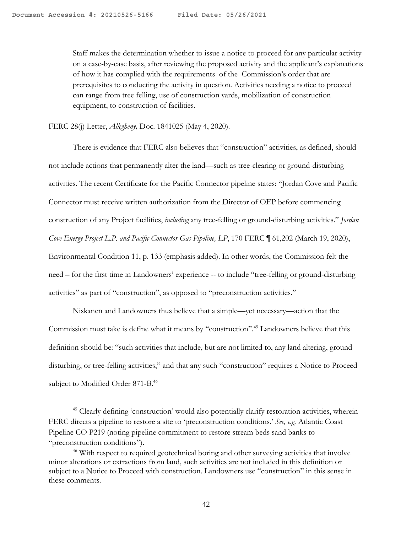Staff makes the determination whether to issue a notice to proceed for any particular activity on a case-by-case basis, after reviewing the proposed activity and the applicant's explanations of how it has complied with the requirements of the Commission's order that are prerequisites to conducting the activity in question. Activities needing a notice to proceed can range from tree felling, use of construction yards, mobilization of construction equipment, to construction of facilities.

FERC 28(j) Letter, *Allegheny,* Doc. 1841025 (May 4, 2020).

There is evidence that FERC also believes that "construction" activities, as defined, should not include actions that permanently alter the land—such as tree-clearing or ground-disturbing activities. The recent Certificate for the Pacific Connector pipeline states: "Jordan Cove and Pacific Connector must receive written authorization from the Director of OEP before commencing construction of any Project facilities, *including* any tree-felling or ground-disturbing activities." *Jordan Cove Energy Project L.P. and Pacific Connector Gas Pipeline, LP*, 170 FERC ¶ 61,202 (March 19, 2020), Environmental Condition 11, p. 133 (emphasis added). In other words, the Commission felt the need – for the first time in Landowners' experience -- to include "tree-felling or ground-disturbing activities" as part of "construction", as opposed to "preconstruction activities."

Niskanen and Landowners thus believe that a simple—yet necessary—action that the Commission must take is define what it means by "construction".<sup>45</sup> Landowners believe that this definition should be: "such activities that include, but are not limited to, any land altering, grounddisturbing, or tree-felling activities," and that any such "construction" requires a Notice to Proceed subject to Modified Order 871-B.<sup>46</sup>

<sup>&</sup>lt;sup>45</sup> Clearly defining 'construction' would also potentially clarify restoration activities, wherein FERC directs a pipeline to restore a site to 'preconstruction conditions.' *See, e.g.* Atlantic Coast Pipeline CO P219 (noting pipeline commitment to restore stream beds sand banks to "preconstruction conditions").

<sup>&</sup>lt;sup>46</sup> With respect to required geotechnical boring and other surveying activities that involve minor alterations or extractions from land, such activities are not included in this definition or subject to a Notice to Proceed with construction. Landowners use "construction" in this sense in these comments.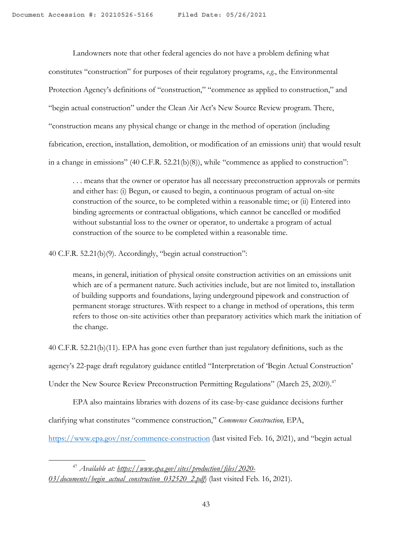Landowners note that other federal agencies do not have a problem defining what constitutes "construction" for purposes of their regulatory programs, *e.g.*, the Environmental Protection Agency's definitions of "construction," "commence as applied to construction," and "begin actual construction" under the Clean Air Act's New Source Review program. There, "construction means any physical change or change in the method of operation (including fabrication, erection, installation, demolition, or modification of an emissions unit) that would result in a change in emissions" (40 C.F.R. 52.21(b)(8)), while "commence as applied to construction":

. . . means that the owner or operator has all necessary preconstruction approvals or permits and either has: (i) Begun, or caused to begin, a continuous program of actual on-site construction of the source, to be completed within a reasonable time; or (ii) Entered into binding agreements or contractual obligations, which cannot be cancelled or modified without substantial loss to the owner or operator, to undertake a program of actual construction of the source to be completed within a reasonable time.

40 C.F.R. 52.21(b)(9). Accordingly, "begin actual construction":

means, in general, initiation of physical onsite construction activities on an emissions unit which are of a permanent nature. Such activities include, but are not limited to, installation of building supports and foundations, laying underground pipework and construction of permanent storage structures. With respect to a change in method of operations, this term refers to those on-site activities other than preparatory activities which mark the initiation of the change.

40 C.F.R. 52.21(b)(11). EPA has gone even further than just regulatory definitions, such as the

agency's 22-page draft regulatory guidance entitled "Interpretation of 'Begin Actual Construction'

Under the New Source Review Preconstruction Permitting Regulations" (March 25, 2020).<sup>47</sup>

EPA also maintains libraries with dozens of its case-by-case guidance decisions further clarifying what constitutes "commence construction," *Commence Construction,* EPA,

https://www.epa.gov/nsr/commence-construction (last visited Feb. 16, 2021), and "begin actual

<sup>47</sup> *Available at: https://www.epa.gov/sites/production/files/2020- 03/documents/begin\_actual\_construction\_032520\_2.pdf*) (last visited Feb. 16, 2021).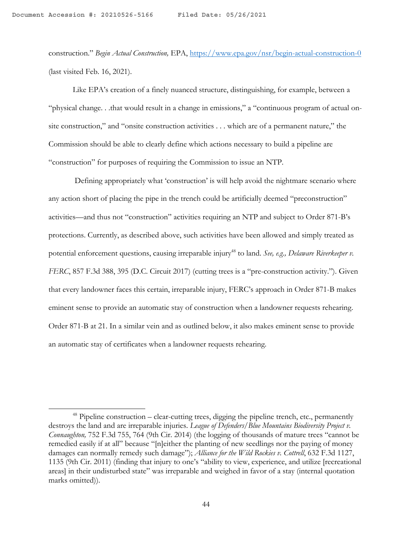construction." *Begin Actual Construction,* EPA, https://www.epa.gov/nsr/begin-actual-construction-0 (last visited Feb. 16, 2021).

Like EPA's creation of a finely nuanced structure, distinguishing, for example, between a "physical change. . .that would result in a change in emissions," a "continuous program of actual onsite construction," and "onsite construction activities . . . which are of a permanent nature," the Commission should be able to clearly define which actions necessary to build a pipeline are "construction" for purposes of requiring the Commission to issue an NTP.

Defining appropriately what 'construction' is will help avoid the nightmare scenario where any action short of placing the pipe in the trench could be artificially deemed "preconstruction" activities—and thus not "construction" activities requiring an NTP and subject to Order 871-B's protections. Currently, as described above, such activities have been allowed and simply treated as potential enforcement questions, causing irreparable injury<sup>48</sup> to land. *See, e.g., Delaware Riverkeeper v. FERC*, 857 F.3d 388, 395 (D.C. Circuit 2017) (cutting trees is a "pre-construction activity."). Given that every landowner faces this certain, irreparable injury, FERC's approach in Order 871-B makes eminent sense to provide an automatic stay of construction when a landowner requests rehearing. Order 871-B at 21. In a similar vein and as outlined below, it also makes eminent sense to provide an automatic stay of certificates when a landowner requests rehearing.

 $48$  Pipeline construction – clear-cutting trees, digging the pipeline trench, etc., permanently destroys the land and are irreparable injuries. *League of Defenders/Blue Mountains Biodiversity Project v. Connaughton,* 752 F.3d 755, 764 (9th Cir. 2014) (the logging of thousands of mature trees "cannot be remedied easily if at all" because "[n]either the planting of new seedlings nor the paying of money damages can normally remedy such damage"); *Alliance for the Wild Rockies v. Cottrell*, 632 F.3d 1127, 1135 (9th Cir. 2011) (finding that injury to one's "ability to view, experience, and utilize [recreational areas] in their undisturbed state" was irreparable and weighed in favor of a stay (internal quotation marks omitted)).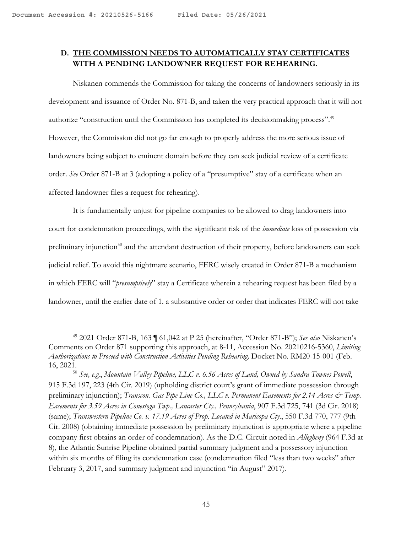## **D. THE COMMISSION NEEDS TO AUTOMATICALLY STAY CERTIFICATES WITH A PENDING LANDOWNER REQUEST FOR REHEARING.**

Niskanen commends the Commission for taking the concerns of landowners seriously in its development and issuance of Order No. 871-B, and taken the very practical approach that it will not authorize "construction until the Commission has completed its decisionmaking process".49 However, the Commission did not go far enough to properly address the more serious issue of landowners being subject to eminent domain before they can seek judicial review of a certificate order. *See* Order 871-B at 3 (adopting a policy of a "presumptive" stay of a certificate when an affected landowner files a request for rehearing).

It is fundamentally unjust for pipeline companies to be allowed to drag landowners into court for condemnation proceedings, with the significant risk of the *immediate* loss of possession via preliminary injunction<sup>50</sup> and the attendant destruction of their property, before landowners can seek judicial relief. To avoid this nightmare scenario, FERC wisely created in Order 871-B a mechanism in which FERC will "*presumptively*" stay a Certificate wherein a rehearing request has been filed by a landowner, until the earlier date of 1. a substantive order or order that indicates FERC will not take

<sup>49</sup> 2021 Order 871-B, 163 ¶ 61,042 at P 25 (hereinafter, "Order 871-B"); *See also* Niskanen's Comments on Order 871 supporting this approach, at 8-11, Accession No. 20210216-5360, *Limiting Authorizations to Proceed with Construction Activities Pending Rehearing,* Docket No. RM20-15-001 (Feb. 16, 2021.

<sup>50</sup> *See, e.g.*, *Mountain Valley Pipeline, LLC v. 6.56 Acres of Land, Owned by Sandra Townes Powell*, 915 F.3d 197, 223 (4th Cir. 2019) (upholding district court's grant of immediate possession through preliminary injunction); *Transcon. Gas Pipe Line Co., LLC v. Permanent Easements for 2.14 Acres & Temp. Easements for 3.59 Acres in Conestoga Twp., Lancaster Cty., Pennsylvania*, 907 F.3d 725, 741 (3d Cir. 2018) (same); *Transwestern Pipeline Co. v. 17.19 Acres of Prop. Located in Maricopa Cty*., 550 F.3d 770, 777 (9th Cir. 2008) (obtaining immediate possession by preliminary injunction is appropriate where a pipeline company first obtains an order of condemnation). As the D.C. Circuit noted in *Allegheny* (964 F.3d at 8), the Atlantic Sunrise Pipeline obtained partial summary judgment and a possessory injunction within six months of filing its condemnation case (condemnation filed "less than two weeks" after February 3, 2017, and summary judgment and injunction "in August" 2017).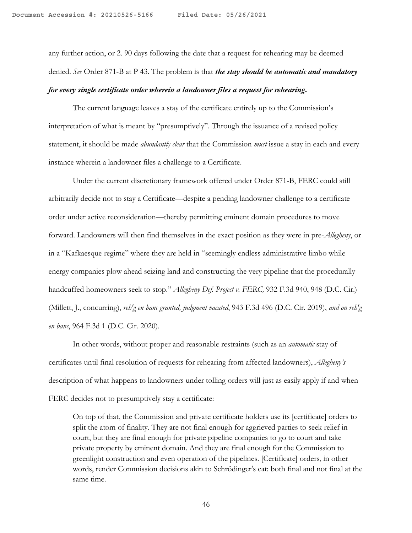any further action, or 2. 90 days following the date that a request for rehearing may be deemed denied. *See* Order 871-B at P 43. The problem is that *the stay should be automatic and mandatory for every single certificate order wherein a landowner files a request for rehearing***.**

The current language leaves a stay of the certificate entirely up to the Commission's interpretation of what is meant by "presumptively". Through the issuance of a revised policy statement, it should be made *abundantly clear* that the Commission *must* issue a stay in each and every instance wherein a landowner files a challenge to a Certificate.

Under the current discretionary framework offered under Order 871-B, FERC could still arbitrarily decide not to stay a Certificate—despite a pending landowner challenge to a certificate order under active reconsideration—thereby permitting eminent domain procedures to move forward. Landowners will then find themselves in the exact position as they were in pre-*Allegheny*, or in a "Kafkaesque regime" where they are held in "seemingly endless administrative limbo while energy companies plow ahead seizing land and constructing the very pipeline that the procedurally handcuffed homeowners seek to stop." *Allegheny Def. Project v. FERC,* 932 F.3d 940, 948 (D.C. Cir.) (Millett, J., concurring), *reh'g en banc granted, judgment vacated*, 943 F.3d 496 (D.C. Cir. 2019), *and on reh'g en banc*, 964 F.3d 1 (D.C. Cir. 2020).

In other words, without proper and reasonable restraints (such as an *automatic* stay of certificates until final resolution of requests for rehearing from affected landowners), *Allegheny's*  description of what happens to landowners under tolling orders will just as easily apply if and when FERC decides not to presumptively stay a certificate:

On top of that, the Commission and private certificate holders use its [certificate] orders to split the atom of finality. They are not final enough for aggrieved parties to seek relief in court, but they are final enough for private pipeline companies to go to court and take private property by eminent domain. And they are final enough for the Commission to greenlight construction and even operation of the pipelines. [Certificate] orders, in other words, render Commission decisions akin to Schrödinger's cat: both final and not final at the same time.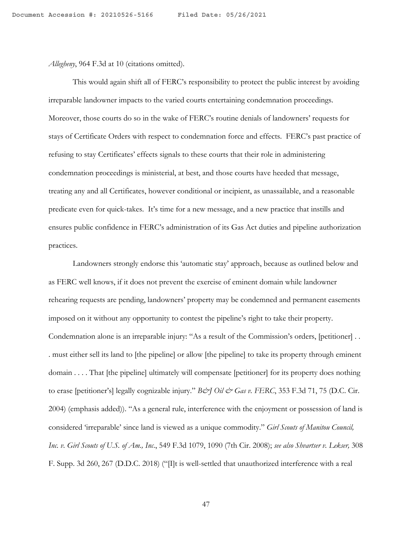*Allegheny*, 964 F.3d at 10 (citations omitted).

This would again shift all of FERC's responsibility to protect the public interest by avoiding irreparable landowner impacts to the varied courts entertaining condemnation proceedings. Moreover, those courts do so in the wake of FERC's routine denials of landowners' requests for stays of Certificate Orders with respect to condemnation force and effects. FERC's past practice of refusing to stay Certificates' effects signals to these courts that their role in administering condemnation proceedings is ministerial, at best, and those courts have heeded that message, treating any and all Certificates, however conditional or incipient, as unassailable, and a reasonable predicate even for quick-takes. It's time for a new message, and a new practice that instills and ensures public confidence in FERC's administration of its Gas Act duties and pipeline authorization practices.

Landowners strongly endorse this 'automatic stay' approach, because as outlined below and as FERC well knows, if it does not prevent the exercise of eminent domain while landowner rehearing requests are pending, landowners' property may be condemned and permanent easements imposed on it without any opportunity to contest the pipeline's right to take their property. Condemnation alone is an irreparable injury: "As a result of the Commission's orders, [petitioner] . . . must either sell its land to [the pipeline] or allow [the pipeline] to take its property through eminent domain . . . . That [the pipeline] ultimately will compensate [petitioner] for its property does nothing to erase [petitioner's] legally cognizable injury." *B&J Oil & Gas v. FERC*, 353 F.3d 71, 75 (D.C. Cir. 2004) (emphasis added)). "As a general rule, interference with the enjoyment or possession of land is considered 'irreparable' since land is viewed as a unique commodity." *Girl Scouts of Manitou Council, Inc. v. Girl Scouts of U.S. of Am., Inc*., 549 F.3d 1079, 1090 (7th Cir. 2008); *see also Shvartser v. Lekser,* 308 F. Supp. 3d 260, 267 (D.D.C. 2018) ("[I]t is well-settled that unauthorized interference with a real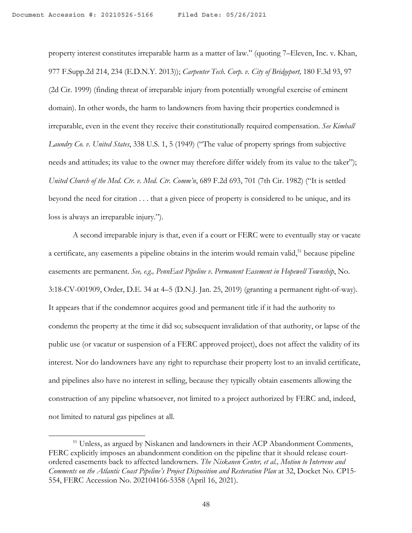property interest constitutes irreparable harm as a matter of law." (quoting 7–Eleven, Inc. v. Khan, 977 F.Supp.2d 214, 234 (E.D.N.Y. 2013)); *Carpenter Tech. Corp. v. City of Bridgeport,* 180 F.3d 93, 97 (2d Cir. 1999) (finding threat of irreparable injury from potentially wrongful exercise of eminent domain). In other words, the harm to landowners from having their properties condemned is irreparable, even in the event they receive their constitutionally required compensation. *See Kimball Laundry Co. v. United States*, 338 U.S. 1, 5 (1949) ("The value of property springs from subjective needs and attitudes; its value to the owner may therefore differ widely from its value to the taker"); *United Church of the Med. Ctr. v. Med. Ctr. Comm'n*, 689 F.2d 693, 701 (7th Cir. 1982) ("It is settled beyond the need for citation . . . that a given piece of property is considered to be unique, and its loss is always an irreparable injury.").

A second irreparable injury is that, even if a court or FERC were to eventually stay or vacate a certificate, any easements a pipeline obtains in the interim would remain valid,<sup>51</sup> because pipeline easements are permanent. *See, e.g., PennEast Pipeline v. Permanent Easement in Hopewell Township*, No. 3:18-CV-001909, Order, D.E. 34 at 4–5 (D.N.J. Jan. 25, 2019) (granting a permanent right-of-way). It appears that if the condemnor acquires good and permanent title if it had the authority to condemn the property at the time it did so; subsequent invalidation of that authority, or lapse of the public use (or vacatur or suspension of a FERC approved project), does not affect the validity of its interest. Nor do landowners have any right to repurchase their property lost to an invalid certificate, and pipelines also have no interest in selling, because they typically obtain easements allowing the construction of any pipeline whatsoever, not limited to a project authorized by FERC and, indeed, not limited to natural gas pipelines at all.

<sup>51</sup> Unless, as argued by Niskanen and landowners in their ACP Abandonment Comments, FERC explicitly imposes an abandonment condition on the pipeline that it should release courtordered easements back to affected landowners. *The Niskanen Center, et al., Motion to Intervene and Comments on the Atlantic Coast Pipeline's Project Disposition and Restoration Plan* at 32, Docket No. CP15- 554, FERC Accession No. 202104166-5358 (April 16, 2021).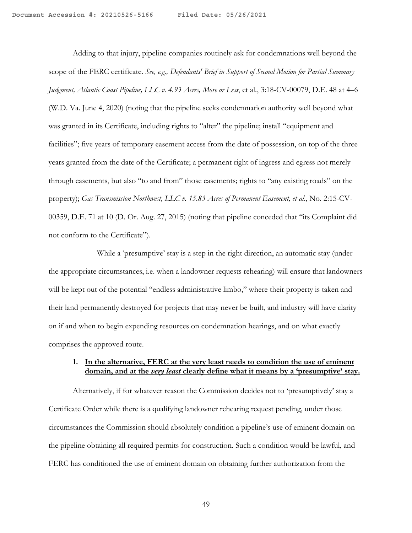Adding to that injury, pipeline companies routinely ask for condemnations well beyond the scope of the FERC certificate. *See, e.g., Defendants' Brief in Support of Second Motion for Partial Summary Judgment, Atlantic Coast Pipeline, LLC v. 4.93 Acres, More or Less*, et al., 3:18-CV-00079, D.E. 48 at 4–6 (W.D. Va. June 4, 2020) (noting that the pipeline seeks condemnation authority well beyond what was granted in its Certificate, including rights to "alter" the pipeline; install "equipment and facilities"; five years of temporary easement access from the date of possession, on top of the three years granted from the date of the Certificate; a permanent right of ingress and egress not merely through easements, but also "to and from" those easements; rights to "any existing roads" on the property); *Gas Transmission Northwest, LLC v. 15.83 Acres of Permanent Easement, et al*., No. 2:15-CV-00359, D.E. 71 at 10 (D. Or. Aug. 27, 2015) (noting that pipeline conceded that "its Complaint did not conform to the Certificate").

While a 'presumptive' stay is a step in the right direction, an automatic stay (under the appropriate circumstances, i.e. when a landowner requests rehearing) will ensure that landowners will be kept out of the potential "endless administrative limbo," where their property is taken and their land permanently destroyed for projects that may never be built, and industry will have clarity on if and when to begin expending resources on condemnation hearings, and on what exactly comprises the approved route.

## **1. In the alternative, FERC at the very least needs to condition the use of eminent domain, and at the** *very least* **clearly define what it means by a 'presumptive' stay.**

Alternatively, if for whatever reason the Commission decides not to 'presumptively' stay a Certificate Order while there is a qualifying landowner rehearing request pending, under those circumstances the Commission should absolutely condition a pipeline's use of eminent domain on the pipeline obtaining all required permits for construction. Such a condition would be lawful, and FERC has conditioned the use of eminent domain on obtaining further authorization from the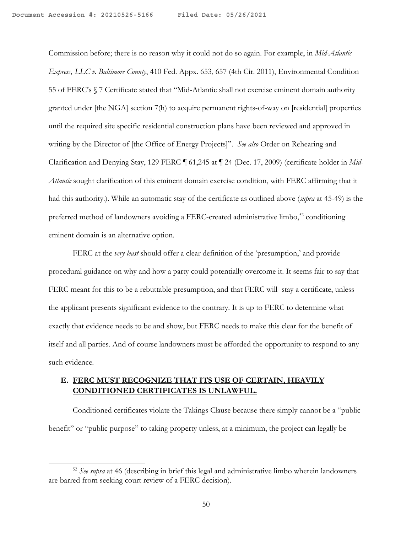Commission before; there is no reason why it could not do so again. For example, in *Mid-Atlantic Express, LLC v. Baltimore County*, 410 Fed. Appx. 653, 657 (4th Cir. 2011), Environmental Condition 55 of FERC's § 7 Certificate stated that "Mid-Atlantic shall not exercise eminent domain authority granted under [the NGA] section 7(h) to acquire permanent rights-of-way on [residential] properties until the required site specific residential construction plans have been reviewed and approved in writing by the Director of [the Office of Energy Projects]". *See also* Order on Rehearing and Clarification and Denying Stay, 129 FERC ¶ 61,245 at ¶ 24 (Dec. 17, 2009) (certificate holder in *Mid-Atlantic* sought clarification of this eminent domain exercise condition, with FERC affirming that it had this authority.). While an automatic stay of the certificate as outlined above (*supra* at 45-49) is the preferred method of landowners avoiding a FERC-created administrative limbo,<sup>52</sup> conditioning eminent domain is an alternative option.

FERC at the *very least* should offer a clear definition of the 'presumption,' and provide procedural guidance on why and how a party could potentially overcome it. It seems fair to say that FERC meant for this to be a rebuttable presumption, and that FERC will stay a certificate, unless the applicant presents significant evidence to the contrary. It is up to FERC to determine what exactly that evidence needs to be and show, but FERC needs to make this clear for the benefit of itself and all parties. And of course landowners must be afforded the opportunity to respond to any such evidence.

## **E. FERC MUST RECOGNIZE THAT ITS USE OF CERTAIN, HEAVILY CONDITIONED CERTIFICATES IS UNLAWFUL.**

Conditioned certificates violate the Takings Clause because there simply cannot be a "public benefit" or "public purpose" to taking property unless, at a minimum, the project can legally be

<sup>52</sup> *See supra* at 46 (describing in brief this legal and administrative limbo wherein landowners are barred from seeking court review of a FERC decision).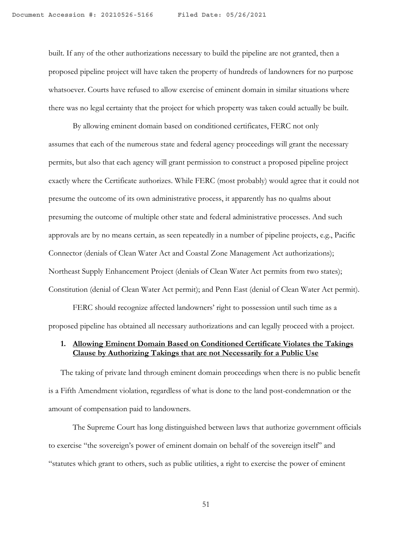built. If any of the other authorizations necessary to build the pipeline are not granted, then a proposed pipeline project will have taken the property of hundreds of landowners for no purpose whatsoever. Courts have refused to allow exercise of eminent domain in similar situations where there was no legal certainty that the project for which property was taken could actually be built.

By allowing eminent domain based on conditioned certificates, FERC not only assumes that each of the numerous state and federal agency proceedings will grant the necessary permits, but also that each agency will grant permission to construct a proposed pipeline project exactly where the Certificate authorizes. While FERC (most probably) would agree that it could not presume the outcome of its own administrative process, it apparently has no qualms about presuming the outcome of multiple other state and federal administrative processes. And such approvals are by no means certain, as seen repeatedly in a number of pipeline projects, e.g., Pacific Connector (denials of Clean Water Act and Coastal Zone Management Act authorizations); Northeast Supply Enhancement Project (denials of Clean Water Act permits from two states); Constitution (denial of Clean Water Act permit); and Penn East (denial of Clean Water Act permit).

FERC should recognize affected landowners' right to possession until such time as a proposed pipeline has obtained all necessary authorizations and can legally proceed with a project.

## **1. Allowing Eminent Domain Based on Conditioned Certificate Violates the Takings Clause by Authorizing Takings that are not Necessarily for a Public Use**

The taking of private land through eminent domain proceedings when there is no public benefit is a Fifth Amendment violation, regardless of what is done to the land post-condemnation or the amount of compensation paid to landowners.

The Supreme Court has long distinguished between laws that authorize government officials to exercise "the sovereign's power of eminent domain on behalf of the sovereign itself" and "statutes which grant to others, such as public utilities, a right to exercise the power of eminent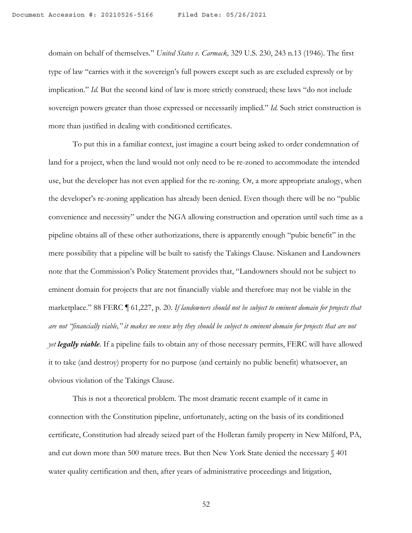domain on behalf of themselves." *United States v. Carmack,* 329 U.S. 230, 243 n.13 (1946). The first type of law "carries with it the sovereign's full powers except such as are excluded expressly or by implication." *Id.* But the second kind of law is more strictly construed; these laws "do not include sovereign powers greater than those expressed or necessarily implied." *Id.* Such strict construction is more than justified in dealing with conditioned certificates.

To put this in a familiar context, just imagine a court being asked to order condemnation of land for a project, when the land would not only need to be re-zoned to accommodate the intended use, but the developer has not even applied for the re-zoning. Or, a more appropriate analogy, when the developer's re-zoning application has already been denied. Even though there will be no "public convenience and necessity" under the NGA allowing construction and operation until such time as a pipeline obtains all of these other authorizations, there is apparently enough "pubic benefit" in the mere possibility that a pipeline will be built to satisfy the Takings Clause. Niskanen and Landowners note that the Commission's Policy Statement provides that, "Landowners should not be subject to eminent domain for projects that are not financially viable and therefore may not be viable in the marketplace." 88 FERC ¶ 61,227, p. 20. *If landowners should not be subject to eminent domain for projects that are not "financially viable," it makes no sense why they should be subject to eminent domain for projects that are not yet legally viable.* If a pipeline fails to obtain any of those necessary permits, FERC will have allowed it to take (and destroy) property for no purpose (and certainly no public benefit) whatsoever, an obvious violation of the Takings Clause.

This is not a theoretical problem. The most dramatic recent example of it came in connection with the Constitution pipeline, unfortunately, acting on the basis of its conditioned certificate, Constitution had already seized part of the Holleran family property in New Milford, PA, and cut down more than 500 mature trees. But then New York State denied the necessary § 401 water quality certification and then, after years of administrative proceedings and litigation,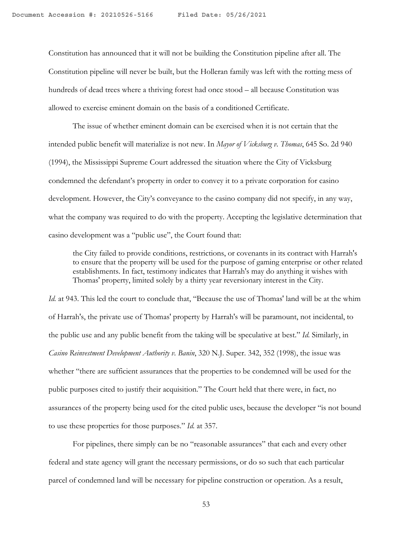Constitution has announced that it will not be building the Constitution pipeline after all. The Constitution pipeline will never be built, but the Holleran family was left with the rotting mess of hundreds of dead trees where a thriving forest had once stood – all because Constitution was allowed to exercise eminent domain on the basis of a conditioned Certificate.

The issue of whether eminent domain can be exercised when it is not certain that the intended public benefit will materialize is not new. In *Mayor of Vicksburg v. Thomas*, 645 So. 2d 940 (1994), the Mississippi Supreme Court addressed the situation where the City of Vicksburg condemned the defendant's property in order to convey it to a private corporation for casino development. However, the City's conveyance to the casino company did not specify, in any way, what the company was required to do with the property. Accepting the legislative determination that casino development was a "public use", the Court found that:

the City failed to provide conditions, restrictions, or covenants in its contract with Harrah's to ensure that the property will be used for the purpose of gaming enterprise or other related establishments. In fact, testimony indicates that Harrah's may do anything it wishes with Thomas' property, limited solely by a thirty year reversionary interest in the City.

*Id.* at 943. This led the court to conclude that, "Because the use of Thomas' land will be at the whim of Harrah's, the private use of Thomas' property by Harrah's will be paramount, not incidental, to the public use and any public benefit from the taking will be speculative at best." *Id.* Similarly, in *Casino Reinvestment Development Authority v. Banin*, 320 N.J. Super. 342, 352 (1998), the issue was whether "there are sufficient assurances that the properties to be condemned will be used for the public purposes cited to justify their acquisition." The Court held that there were, in fact, no assurances of the property being used for the cited public uses, because the developer "is not bound to use these properties for those purposes." *Id.* at 357.

For pipelines, there simply can be no "reasonable assurances" that each and every other federal and state agency will grant the necessary permissions, or do so such that each particular parcel of condemned land will be necessary for pipeline construction or operation. As a result,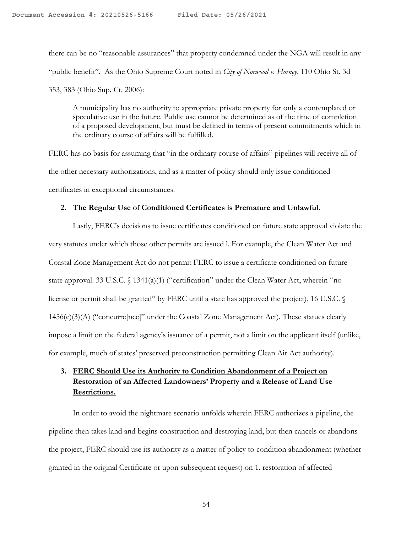there can be no "reasonable assurances" that property condemned under the NGA will result in any "public benefit". As the Ohio Supreme Court noted in *City of Norwood v. Horney*, 110 Ohio St. 3d 353, 383 (Ohio Sup. Ct. 2006):

A municipality has no authority to appropriate private property for only a contemplated or speculative use in the future. Public use cannot be determined as of the time of completion of a proposed development, but must be defined in terms of present commitments which in the ordinary course of affairs will be fulfilled.

FERC has no basis for assuming that "in the ordinary course of affairs" pipelines will receive all of the other necessary authorizations, and as a matter of policy should only issue conditioned certificates in exceptional circumstances.

## **2. The Regular Use of Conditioned Certificates is Premature and Unlawful.**

Lastly, FERC's decisions to issue certificates conditioned on future state approval violate the very statutes under which those other permits are issued l. For example, the Clean Water Act and Coastal Zone Management Act do not permit FERC to issue a certificate conditioned on future state approval. 33 U.S.C. § 1341(a)(1) ("certification" under the Clean Water Act, wherein "no license or permit shall be granted" by FERC until a state has approved the project), 16 U.S.C. §  $1456(c)(3)(A)$  ("concurre[nce]" under the Coastal Zone Management Act). These statues clearly impose a limit on the federal agency's issuance of a permit, not a limit on the applicant itself (unlike, for example, much of states' preserved preconstruction permitting Clean Air Act authority).

## **3. FERC Should Use its Authority to Condition Abandonment of a Project on Restoration of an Affected Landowners' Property and a Release of Land Use Restrictions.**

In order to avoid the nightmare scenario unfolds wherein FERC authorizes a pipeline, the pipeline then takes land and begins construction and destroying land, but then cancels or abandons the project, FERC should use its authority as a matter of policy to condition abandonment (whether granted in the original Certificate or upon subsequent request) on 1. restoration of affected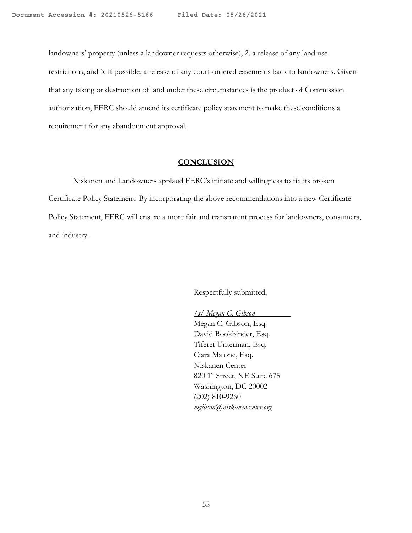landowners' property (unless a landowner requests otherwise), 2. a release of any land use restrictions, and 3. if possible, a release of any court-ordered easements back to landowners. Given that any taking or destruction of land under these circumstances is the product of Commission authorization, FERC should amend its certificate policy statement to make these conditions a requirement for any abandonment approval.

#### **CONCLUSION**

Niskanen and Landowners applaud FERC's initiate and willingness to fix its broken Certificate Policy Statement. By incorporating the above recommendations into a new Certificate Policy Statement, FERC will ensure a more fair and transparent process for landowners, consumers, and industry.

Respectfully submitted,

*/s/ Megan C. Gibson* Megan C. Gibson, Esq. David Bookbinder, Esq. Tiferet Unterman, Esq. Ciara Malone, Esq. Niskanen Center 820 1<sup>st</sup> Street, NE Suite 675 Washington, DC 20002 (202) 810-9260 *mgibson@niskanencenter.org*